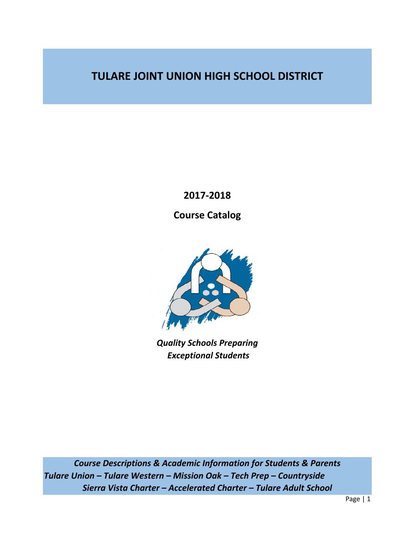**TULARE JOINT UNION HIGH SCHOOL DISTRICT** 

**2017‐2018** 

**Course Catalog** 



*Quality Schools Preparing Exceptional Students* 

*Course Descriptions & Academic Information for Students & Parents Tulare Union – Tulare Western – Mission Oak – Tech Prep – Countryside Sierra Vista Charter – Accelerated Charter – Tulare Adult School*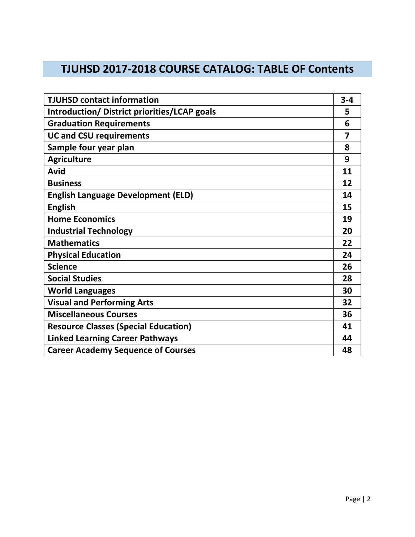# **TJUHSD 2017‐2018 COURSE CATALOG: TABLE OF Contents**

| <b>TJUHSD contact information</b>            | $3 - 4$ |
|----------------------------------------------|---------|
| Introduction/ District priorities/LCAP goals | 5       |
| <b>Graduation Requirements</b>               | 6       |
| <b>UC and CSU requirements</b>               | 7       |
| Sample four year plan                        | 8       |
| <b>Agriculture</b>                           | 9       |
| Avid                                         | 11      |
| <b>Business</b>                              | 12      |
| <b>English Language Development (ELD)</b>    | 14      |
| <b>English</b>                               | 15      |
| <b>Home Economics</b>                        | 19      |
| <b>Industrial Technology</b>                 | 20      |
| <b>Mathematics</b>                           | 22      |
| <b>Physical Education</b>                    | 24      |
| <b>Science</b>                               | 26      |
| <b>Social Studies</b>                        | 28      |
| <b>World Languages</b>                       | 30      |
| <b>Visual and Performing Arts</b>            | 32      |
| <b>Miscellaneous Courses</b>                 | 36      |
| <b>Resource Classes (Special Education)</b>  | 41      |
| <b>Linked Learning Career Pathways</b>       | 44      |
| <b>Career Academy Sequence of Courses</b>    | 48      |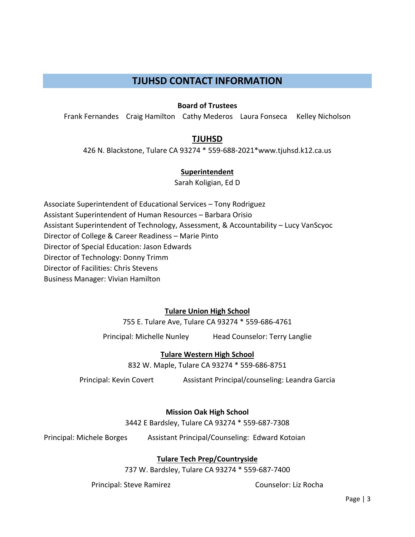# **TJUHSD CONTACT INFORMATION**

## **Board of Trustees**

Frank Fernandes Craig Hamilton Cathy Mederos Laura Fonseca Kelley Nicholson

# **TJUHSD**

426 N. Blackstone, Tulare CA 93274 \* 559‐688‐2021\*www.tjuhsd.k12.ca.us

## **Superintendent**

Sarah Koligian, Ed D

Associate Superintendent of Educational Services – Tony Rodriguez Assistant Superintendent of Human Resources – Barbara Orisio Assistant Superintendent of Technology, Assessment, & Accountability – Lucy VanScyoc Director of College & Career Readiness – Marie Pinto Director of Special Education: Jason Edwards Director of Technology: Donny Trimm Director of Facilities: Chris Stevens Business Manager: Vivian Hamilton

# **Tulare Union High School**

755 E. Tulare Ave, Tulare CA 93274 \* 559‐686‐4761

Principal: Michelle Nunley Head Counselor: Terry Langlie

# **Tulare Western High School**

832 W. Maple, Tulare CA 93274 \* 559‐686‐8751

Principal: Kevin Covert Assistant Principal/counseling: Leandra Garcia

# **Mission Oak High School**

3442 E Bardsley, Tulare CA 93274 \* 559‐687‐7308

Principal: Michele Borges Assistant Principal/Counseling: Edward Kotoian

# **Tulare Tech Prep/Countryside**

737 W. Bardsley, Tulare CA 93274 \* 559‐687‐7400

Principal: Steve Ramirez **Bandary Counselor: Liz Rocha**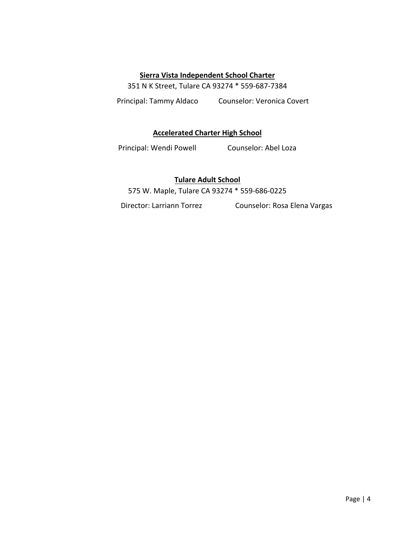## **Sierra Vista Independent School Charter**

351 N K Street, Tulare CA 93274 \* 559‐687‐7384

Principal: Tammy Aldaco Counselor: Veronica Covert

## **Accelerated Charter High School**

Principal: Wendi Powell **Counselor: Abel Loza** 

# **Tulare Adult School**

575 W. Maple, Tulare CA 93274 \* 559‐686‐0225

Director: Larriann Torrez Counselor: Rosa Elena Vargas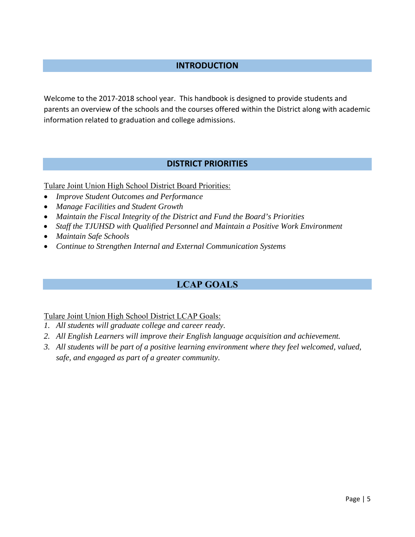# **INTRODUCTION**

Welcome to the 2017‐2018 school year. This handbook is designed to provide students and parents an overview of the schools and the courses offered within the District along with academic information related to graduation and college admissions.

# **DISTRICT PRIORITIES**

Tulare Joint Union High School District Board Priorities:

- *Improve Student Outcomes and Performance*
- *Manage Facilities and Student Growth*
- *Maintain the Fiscal Integrity of the District and Fund the Board's Priorities*
- *Staff the TJUHSD with Qualified Personnel and Maintain a Positive Work Environment*
- *Maintain Safe Schools*
- *Continue to Strengthen Internal and External Communication Systems*

# **LCAP GOALS**

## Tulare Joint Union High School District LCAP Goals:

- *1. All students will graduate college and career ready.*
- *2. All English Learners will improve their English language acquisition and achievement.*
- *3. All students will be part of a positive learning environment where they feel welcomed, valued, safe, and engaged as part of a greater community.*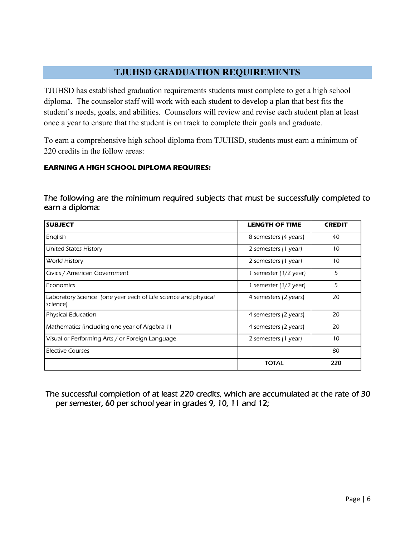# **TJUHSD GRADUATION REQUIREMENTS**

TJUHSD has established graduation requirements students must complete to get a high school diploma. The counselor staff will work with each student to develop a plan that best fits the student's needs, goals, and abilities. Counselors will review and revise each student plan at least once a year to ensure that the student is on track to complete their goals and graduate.

To earn a comprehensive high school diploma from TJUHSD, students must earn a minimum of 220 credits in the follow areas:

## **EARNING A HIGH SCHOOL DIPLOMA REQUIRES:**

# The following are the minimum required subjects that must be successfully completed to earn a diploma:

| <b>SUBJECT</b>                                                             | <b>LENGTH OF TIME</b> | <b>CREDIT</b> |
|----------------------------------------------------------------------------|-----------------------|---------------|
| English                                                                    | 8 semesters (4 years) | 40            |
| <b>United States History</b>                                               | 2 semesters (1 year)  | 10            |
| World History                                                              | 2 semesters (1 year)  | 10            |
| Civics / American Government                                               | 1 semester (1/2 year) | 5             |
| Economics                                                                  | 1 semester (1/2 year) | 5             |
| Laboratory Science (one year each of Life science and physical<br>science) | 4 semesters (2 years) | 20            |
| <b>Physical Education</b>                                                  | 4 semesters (2 years) | 20            |
| Mathematics (including one year of Algebra 1)                              | 4 semesters (2 years) | 20            |
| Visual or Performing Arts / or Foreign Language                            | 2 semesters (1 year)  | 10            |
| Elective Courses                                                           |                       | 80            |
|                                                                            | <b>TOTAL</b>          | 220           |

The successful completion of at least 220 credits, which are accumulated at the rate of 30 per semester, 60 per school year in grades 9, 10, 11 and 12;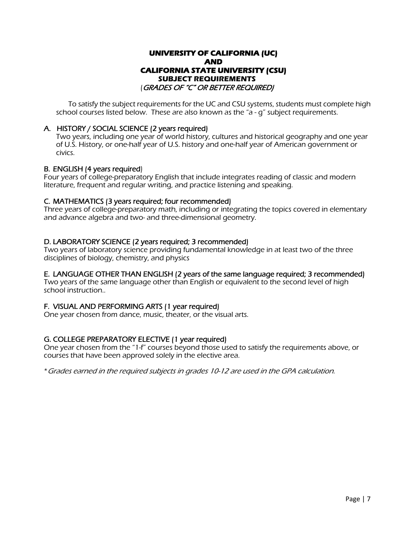## **UNIVERSITY OF CALIFORNIA (UC) AND CALIFORNIA STATE UNIVERSITY (CSU) SUBJECT REQUIREMENTS**  (GRADES OF "C" OR BETTER REQUIRED)

 To satisfy the subject requirements for the UC and CSU systems, students must complete high school courses listed below. These are also known as the "a - g" subject requirements.

### A. HISTORY / SOCIAL SCIENCE (2 years required)

Two years, including one year of world history, cultures and historical geography and one year of U.S. History, or one-half year of U.S. history and one-half year of American government or civics.

### B. ENGLISH (4 years required)

Four years of college-preparatory English that include integrates reading of classic and modern literature, frequent and regular writing, and practice listening and speaking.

### C. MATHEMATICS (3 years required; four recommended)

Three years of college-preparatory math, including or integrating the topics covered in elementary and advance algebra and two- and three-dimensional geometry.

### D. LABORATORY SCIENCE (2 years required; 3 recommended)

Two years of laboratory science providing fundamental knowledge in at least two of the three disciplines of biology, chemistry, and physics

## E. LANGUAGE OTHER THAN ENGLISH (2 years of the same language required; 3 recommended)

Two years of the same language other than English or equivalent to the second level of high school instruction..

### F. VISUAL AND PERFORMING ARTS (1 year required)

One year chosen from dance, music, theater, or the visual arts.

## G. COLLEGE PREPARATORY ELECTIVE (1 year required)

One year chosen from the "1-f" courses beyond those used to satisfy the requirements above, or courses that have been approved solely in the elective area.

\*Grades earned in the required subjects in grades 10-12 are used in the GPA calculation.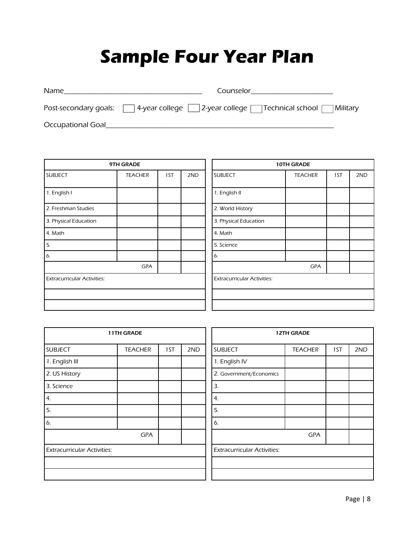# **Sample Four Year Plan**

| Name | Counselor                                                                             |
|------|---------------------------------------------------------------------------------------|
|      | Post-secondary goals:   4-year college   2-year college   Technical school   Military |

Occupational Goal\_\_\_\_\_\_\_\_\_\_\_\_\_\_\_\_\_\_\_\_\_\_\_\_\_\_\_\_\_\_\_\_\_\_\_\_\_\_\_\_\_\_\_\_\_\_\_\_\_\_\_\_\_\_\_\_\_\_\_\_\_

| 9TH GRADE                          |                |     | 10TH GRADE |                |                                    |                |     |     |
|------------------------------------|----------------|-----|------------|----------------|------------------------------------|----------------|-----|-----|
| <b>SUBJECT</b>                     | <b>TEACHER</b> | 1ST | 2ND        | <b>SUBJECT</b> |                                    | <b>TEACHER</b> | 1ST | 2ND |
| 1. English I                       |                |     |            | 1. English II  |                                    |                |     |     |
| 2. Freshman Studies                |                |     |            |                | 2. World History                   |                |     |     |
| 3. Physical Education              |                |     |            |                | 3. Physical Education              |                |     |     |
| 4. Math                            |                |     |            | 4. Math        |                                    |                |     |     |
| 5.                                 |                |     |            | 5. Science     |                                    |                |     |     |
| 6.                                 |                |     |            | 6.             |                                    |                |     |     |
|                                    | <b>GPA</b>     |     |            |                |                                    | <b>GPA</b>     |     |     |
| <b>Extracurricular Activities:</b> |                |     |            |                | <b>Extracurricular Activities:</b> |                |     |     |
|                                    |                |     |            |                |                                    |                |     |     |
|                                    |                |     |            |                |                                    |                |     |     |

| 10TH GRADE                         |                |     |     |  |  |  |
|------------------------------------|----------------|-----|-----|--|--|--|
| <b>SUBJECT</b>                     | <b>TEACHER</b> | 1ST | 2ND |  |  |  |
|                                    |                |     |     |  |  |  |
| 1. English II                      |                |     |     |  |  |  |
| 2. World History                   |                |     |     |  |  |  |
| 3. Physical Education              |                |     |     |  |  |  |
| 4. Math                            |                |     |     |  |  |  |
| 5. Science                         |                |     |     |  |  |  |
| 6.                                 |                |     |     |  |  |  |
| <b>GPA</b>                         |                |     |     |  |  |  |
| <b>Extracurricular Activities:</b> |                |     |     |  |  |  |
|                                    |                |     |     |  |  |  |
|                                    |                |     |     |  |  |  |

| 11TH GRADE                         |                |     | <b>12TH GRADE</b>                  |  |                         |                |     |     |
|------------------------------------|----------------|-----|------------------------------------|--|-------------------------|----------------|-----|-----|
| <b>SUBJECT</b>                     | <b>TEACHER</b> | 1ST | 2ND                                |  | <b>SUBJECT</b>          | <b>TEACHER</b> | 1ST | 2ND |
| 1. English III                     |                |     |                                    |  | 1. English IV           |                |     |     |
| 2. US History                      |                |     |                                    |  | 2. Government/Economics |                |     |     |
| 3. Science                         |                |     |                                    |  | 3.                      |                |     |     |
| 4.                                 |                |     |                                    |  | 4.                      |                |     |     |
| 5.                                 |                |     |                                    |  | 5.                      |                |     |     |
| 6.                                 |                |     |                                    |  | 6.                      |                |     |     |
|                                    | GPA            |     |                                    |  |                         | <b>GPA</b>     |     |     |
| <b>Extracurricular Activities:</b> |                |     | <b>Extracurricular Activities:</b> |  |                         |                |     |     |
|                                    |                |     |                                    |  |                         |                |     |     |
|                                    |                |     |                                    |  |                         |                |     |     |

| <b>12TH GRADE</b>                  |                |     |     |  |  |
|------------------------------------|----------------|-----|-----|--|--|
| <b>SUBJECT</b>                     | <b>TEACHER</b> | 1ST | 2ND |  |  |
| 1. English IV                      |                |     |     |  |  |
| 2. Government/Economics            |                |     |     |  |  |
| 3.                                 |                |     |     |  |  |
| 4.                                 |                |     |     |  |  |
| 5.                                 |                |     |     |  |  |
| 6.                                 |                |     |     |  |  |
| <b>GPA</b>                         |                |     |     |  |  |
| <b>Extracurricular Activities:</b> |                |     |     |  |  |
|                                    |                |     |     |  |  |
|                                    |                |     |     |  |  |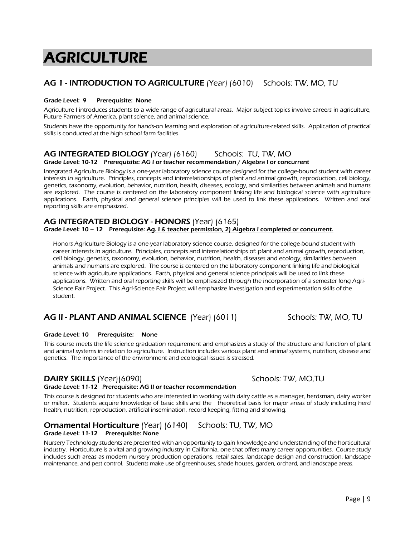# **AGRICULTURE**

## AG 1 - INTRODUCTION TO AGRICULTURE (Year) (6010) Schools: TW, MO, TU

### Grade Level: 9 Prerequisite: None

Agriculture I introduces students to a wide range of agricultural areas. Major subject topics involve careers in agriculture, Future Farmers of America, plant science, and animal science.

Students have the opportunity for hands-on learning and exploration of agriculture-related skills. Application of practical skills is conducted at the high school farm facilities.

### AG INTEGRATED BIOLOGY (Year) (6160) Schools: TU, TW, MO Grade Level: 10-12 Prerequisite: AG I or teacher recommendation / Algebra I or concurrent

Integrated Agriculture Biology is a one-year laboratory science course designed for the college-bound student with career interests in agriculture. Principles, concepts and interrelationships of plant and animal growth, reproduction, cell biology, genetics, taxonomy, evolution, behavior, nutrition, health, diseases, ecology, and similarities between animals and humans are explored. The course is centered on the laboratory component linking life and biological science with agriculture applications. Earth, physical and general science principles will be used to link these applications. Written and oral reporting skills are emphasized.

### AG INTEGRATED BIOLOGY - HONORS (Year) (6165) Grade Level: 10 - 12 Prerequisite: Ag. I & teacher permission, 2) Algebra I completed or concurrent.

Honors Agriculture Biology is a one-year laboratory science course, designed for the college-bound student with career interests in agriculture. Principles, concepts and interrelationships of: plant and animal growth, reproduction, cell biology, genetics, taxonomy, evolution, behavior, nutrition, health, diseases and ecology, similarities between animals and humans are explored. The course is centered on the laboratory component linking life and biological science with agriculture applications. Earth, physical and general science principals will be used to link these applications. Written and oral reporting skills will be emphasized through the incorporation of a semester long Agri-Science Fair Project. This Agri-Science Fair Project will emphasize investigation and experimentation skills of the student.

# AG II - PLANT AND ANIMAL SCIENCE (Year) (6011) Schools: TW, MO, TU

### Grade Level: 10 Prerequisite: None

This course meets the life science graduation requirement and emphasizes a study of the structure and function of plant and animal systems in relation to agriculture. Instruction includes various plant and animal systems, nutrition, disease and genetics. The importance of the environment and ecological issues is stressed.

## **DAIRY SKILLS** (Year)(6090) Schools: TW, MO,TU

Grade Level: 11-12 Prerequisite: AG II or teacher recommendation

This course is designed for students who are interested in working with dairy cattle as a manager, herdsman, dairy worker or milker. Students acquire knowledge of basic skills and the theoretical basis for major areas of study including herd health, nutrition, reproduction, artificial insemination, record keeping, fitting and showing.

### **Ornamental Horticulture** (Year) (6140) Schools: TU, TW, MO Grade Level: 11-12 Prerequisite: None

Nursery Technology students are presented with an opportunity to gain knowledge and understanding of the horticultural industry. Horticulture is a vital and growing industry in California, one that offers many career opportunities. Course study includes such areas as modern nursery production operations, retail sales, landscape design and construction, landscape maintenance, and pest control. Students make use of greenhouses, shade houses, garden, orchard, and landscape areas.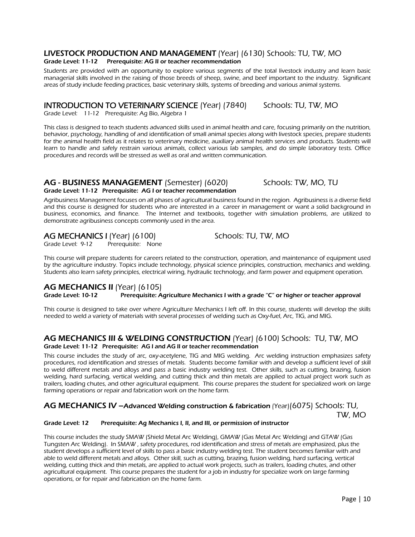## LIVESTOCK PRODUCTION AND MANAGEMENT (Year) (6130) Schools: TU, TW, MO

### Grade Level: 11-12 Prerequisite: AG II or teacher recommendation

 Students are provided with an opportunity to explore various segments of the total livestock industry and learn basic managerial skills involved in the raising of those breeds of sheep, swine, and beef important to the industry. Significant areas of study include feeding practices, basic veterinary skills, systems of breeding and various animal systems.

## INTRODUCTION TO VETERINARY SCIENCE (Year) (7840) Schools: TU, TW, MO

Grade Level: 11-12 Prerequisite: Ag Bio, Algebra 1

This class is designed to teach students advanced skills used in animal health and care, focusing primarily on the nutrition, behavior, psychology, handling of and identification of small animal species along with livestock species, prepare students for the animal health field as it relates to veterinary medicine, auxiliary animal health services and products. Students will learn to handle and safely restrain various animals, collect various lab samples, and do simple laboratory tests. Office procedures and records will be stressed as well as oral and written communication.

## AG - BUSINESS MANAGEMENT (Semester) (6020) Schools: TW, MO, TU Grade Level: 11-12 Prerequisite: AG I or teacher recommendation

Agribusiness Management focuses on all phases of agricultural business found in the region. Agribusiness is a diverse field and this course is designed for students who are interested in a career in management or want a solid background in business, economics, and finance. The Internet and textbooks, together with simulation problems, are utilized to demonstrate agribusiness concepts commonly used in the area.

# AG MECHANICS I (Year) (6100) Schools: TU, TW, MO<br>Grade Level: 9-12 Prerequisite: None

This course will prepare students for careers related to the construction, operation, and maintenance of equipment used by the agriculture industry. Topics include technology, physical science principles, construction, mechanics and welding. Students also learn safety principles, electrical wiring, hydraulic technology, and farm power and equipment operation.

# **AG MECHANICS II** (Year) (6105)<br>Grade Level: 10-12 Prerequisite: A

Prerequisite: Agriculture Mechanics I with a grade "C" or higher or teacher approval

This course is designed to take over where Agriculture Mechanics I left off. In this course, students will develop the skills needed to weld a variety of materials with several processes of welding such as Oxy-fuel, Arc, TIG, and MIG.

### AG MECHANICS III & WELDING CONSTRUCTION (Year) (6100) Schools: TU, TW, MO Grade Level: 11-12 Prerequisite: AG I and AG II or teacher recommendation

This course includes the study of arc, oxy-acetylene, TIG and MIG welding. Arc welding instruction emphasizes safety procedures, rod identification and stresses of metals. Students become familiar with and develop a sufficient level of skill to weld different metals and alloys and pass a basic industry welding test. Other skills, such as cutting, brazing, fusion welding, hard surfacing, vertical welding, and cutting thick and thin metals are applied to actual project work such as trailers, loading chutes, and other agricultural equipment. This course prepares the student for specialized work on large farming operations or repair and fabrication work on the home farm.

## AG MECHANICS IV - Advanced Welding construction & fabrication (Year)(6075) Schools: TU, TW, MO

### Grade Level: 12 Prerequisite: Ag Mechanics I, II, and III, or permission of instructor

This course includes the study SMAW (Shield Metal Arc Welding), GMAW (Gas Metal Arc Welding) and GTAW (Gas Tungsten Arc Welding). In SMAW , safety procedures, rod identification and stress of metals are emphasized, plus the student develops a sufficient level of skills to pass a basic industry welding test. The student becomes familiar with and able to weld different metals and alloys. Other skill, such as cutting, brazing, fusion welding, hard surfacing, vertical welding, cutting thick and thin metals, are applied to actual work projects, such as trailers, loading chutes, and other agricultural equipment. This course prepares the student for a job in industry for specialize work on large farming operations, or for repair and fabrication on the home farm.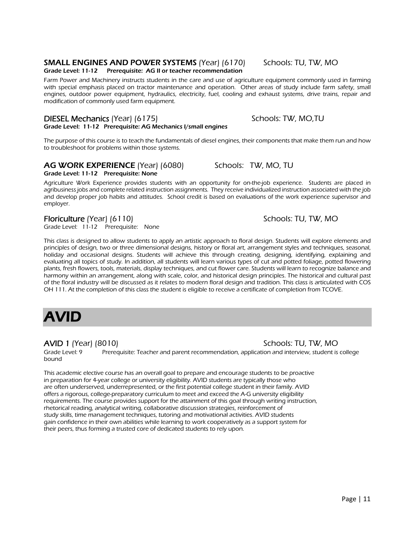# SMALL ENGINES AND POWER SYSTEMS (Year) (6170) Schools: TU, TW, MO

### Grade Level: 11-12 Prerequisite: AG II or teacher recommendation

Farm Power and Machinery instructs students in the care and use of agriculture equipment commonly used in farming with special emphasis placed on tractor maintenance and operation. Other areas of study include farm safety, small engines, outdoor power equipment, hydraulics, electricity, fuel, cooling and exhaust systems, drive trains, repair and modification of commonly used farm equipment.

### DIESEL Mechanics (Year) (6175) Schools: TW, MO,TU Grade Level: 11-12 Prerequisite: AG Mechanics I/small engines

The purpose of this course is to teach the fundamentals of diesel engines, their components that make them run and how

# AG WORK EXPERIENCE (Year) (6080) Schools: TW, MO, TU

to troubleshoot for problems within those systems.

## Grade Level: 11-12 Prerequisite: None

 Agriculture Work Experience provides students with an opportunity for on-the-job experience. Students are placed in agribusiness jobs and complete related instruction assignments. They receive individualized instruction associated with the job and develop proper job habits and attitudes. School credit is based on evaluations of the work experience supervisor and employer.

Floriculture (Year) (6110) Schools: TU, TW, MO<br>Grade Level: 11-12 Prerequisite: None

This class is designed to allow students to apply an artistic approach to floral design. Students will explore elements and principles of design, two or three dimensional designs, history or floral art, arrangement styles and techniques, seasonal, holiday and occasional designs. Students will achieve this through creating, designing, identifying, explaining and evaluating all topics of study. In addition, all students will learn various types of cut and potted foliage, potted flowering plants, fresh flowers, tools, materials, display techniques, and cut flower care. Students will learn to recognize balance and harmony within an arrangement, along with scale, color, and historical design principles. The historical and cultural past of the floral industry will be discussed as it relates to modern floral design and tradition. This class is articulated with COS OH 111. At the completion of this class the student is eligible to receive a certificate of completion from TCOVE.

# AVID

AVID 1 (Year) (8010) Schools: TU, TW, MO

Grade Level: 9 Prerequisite: Teacher and parent recommendation, application and interview, student is college bound

This academic elective course has an overall goal to prepare and encourage students to be proactive in preparation for 4-year college or university eligibility. AVID students are typically those who are often underserved, underrepresented, or the first potential college student in their family. AVID offers a rigorous, college-preparatory curriculum to meet and exceed the A-G university eligibility requirements. The course provides support for the attainment of this goal through writing instruction, rhetorical reading, analytical writing, collaborative discussion strategies, reinforcement of study skills, time management techniques, tutoring and motivational activities. AVID students gain confidence in their own abilities while learning to work cooperatively as a support system for their peers, thus forming a trusted core of dedicated students to rely upon.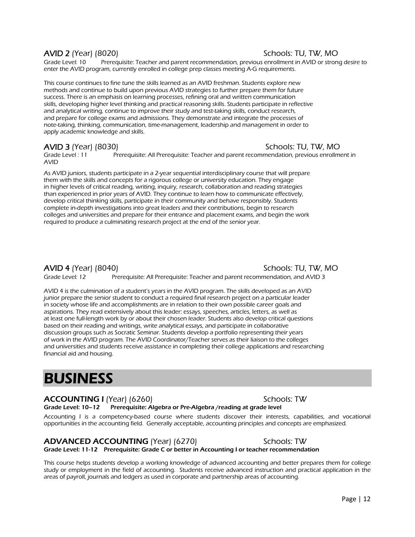## AVID 2 (Year) (8020) Schools: TU, TW, MO

Grade Level: 10 Prerequisite: Teacher and parent recommendation, previous enrollment in AVID or strong desire to enter the AVID program, currently enrolled in college prep classes meeting A-G requirements.

This course continues to fine tune the skills learned as an AVID freshman. Students explore new methods and continue to build upon previous AVID strategies to further prepare them for future success. There is an emphasis on learning processes, refining oral and written communication skills, developing higher level thinking and practical reasoning skills. Students participate in reflective and analytical writing, continue to improve their study and test-taking skills, conduct research, and prepare for college exams and admissions. They demonstrate and integrate the processes of note-taking, thinking, communication, time-management, leadership and management in order to apply academic knowledge and skills.

## AVID 3 (Year) (8030) Schools: TU, TW, MO

Grade Level : 11 Prerequisite: All Prerequisite: Teacher and parent recommendation, previous enrollment in AVID

As AVID juniors, students participate in a 2-year sequential interdisciplinary course that will prepare them with the skills and concepts for a rigorous college or university education. They engage in higher levels of critical reading, writing, inquiry, research, collaboration and reading strategies than experienced in prior years of AVID. They continue to learn how to communicate effectively, develop critical thinking skills, participate in their community and behave responsibly. Students complete in-depth investigations into great leaders and their contributions, begin to research colleges and universities and prepare for their entrance and placement exams, and begin the work required to produce a culminating research project at the end of the senior year.

### AVID 4 (Year) (8040) Schools: TU, TW, MO

Grade Level: 12 Prerequisite: All Prerequisite: Teacher and parent recommendation, and AVID 3

AVID 4 is the culmination of a student's years in the AVID program. The skills developed as an AVID junior prepare the senior student to conduct a required final research project on a particular leader in society whose life and accomplishments are in relation to their own possible career goals and aspirations. They read extensively about this leader: essays, speeches, articles, letters, as well as at least one full-length work by or about their chosen leader. Students also develop critical questions based on their reading and writings, write analytical essays, and participate in collaborative discussion groups such as Socratic Seminar. Students develop a portfolio representing their years of work in the AVID program. The AVID Coordinator/Teacher serves as their liaison to the colleges and universities and students receive assistance in completing their college applications and researching financial aid and housing.

# BUSINESS

### ACCOUNTING I (Year) (6260) Schools: TW Grade Level: 10-12 Prerequisite: Algebra or Pre-Algebra / reading at grade level

Accounting I is a competency-based course where students discover their interests, capabilities, and vocational opportunities in the accounting field. Generally acceptable, accounting principles and concepts are emphasized.

# ADVANCED ACCOUNTING (Year) (6270) Schools: TW

This course helps students develop a working knowledge of advanced accounting and better prepares them for college study or employment in the field of accounting. Students receive advanced instruction and practical application in the areas of payroll, journals and ledgers as used in corporate and partnership areas of accounting.

Grade Level: 11-12 Prerequisite: Grade C or better in Accounting I or teacher recommendation

Page | 12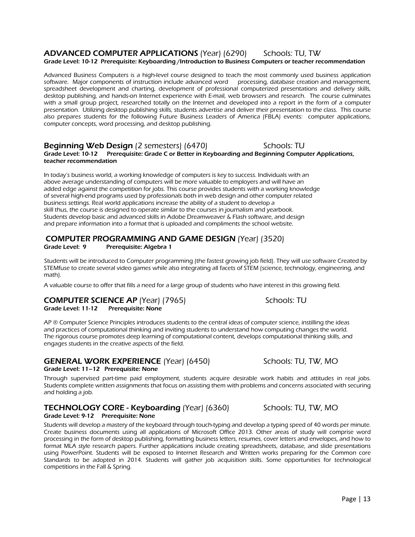# Grade Level: 10-12 Prerequisite: Keyboarding /Introduction to Business Computers or teacher recommendation

 Advanced Business Computers is a high-level course designed to teach the most commonly used business application software. Major components of instruction include advanced word processing, database creation and management, spreadsheet development and charting, development of professional computerized presentations and delivery skills, desktop publishing, and hands-on Internet experience with E-mail, web browsers and research. The course culminates with a small group project, researched totally on the Internet and developed into a report in the form of a computer presentation. Utilizing desktop publishing skills, students advertise and deliver their presentation to the class. This course also prepares students for the following Future Business Leaders of America (FBLA) events: computer applications, computer concepts, word processing, and desktop publishing.

### **Beginning Web Design** (2 semesters) (6470) Schools: TU Grade Level: 10-12 Prerequisite: Grade C or Better in Keyboarding and Beginning Computer Applications, teacher recommendation

In today's business world, a working knowledge of computers is key to success. Individuals with an above average understanding of computers will be more valuable to employers and will have an added edge against the competition for jobs. This course provides students with a working knowledge of several high-end programs used by professionals both in web design and other computer related business settings. Real world applications increase the ability of a student to develop a skill thus, the course is designed to operate similar to the courses in journalism and yearbook. Students develop basic and advanced skills in Adobe Dreamweaver & Flash software, and design and prepare information into a format that is uploaded and compliments the school website.

ADVANCED COMPUTER APPLICATIONS (Year) (6290) Schools: TU, TW

### COMPUTER PROGRAMMING AND GAME DESIGN (Year) (3520)

### Grade Level: 9 Prerequisite: Algebra 1

Students will be introduced to Computer programming (the fastest growing job field). They will use software Created by STEMfuse to create several video games while also integrating all facets of STEM (science, technology, engineering, and math).

A valuable course to offer that fills a need for a large group of students who have interest in this growing field.

## **COMPUTER SCIENCE AP** (Year) (7965) Schools: TU

Grade Level: 11-12 Prerequisite: None

AP ® Computer Science Principles introduces students to the central ideas of computer science, instilling the ideas and practices of computational thinking and inviting students to understand how computing changes the world. The rigorous course promotes deep learning of computational content, develops computational thinking skills, and engages students in the creative aspects of the field.

## GENERAL WORK EXPERIENCE (Year) (6450) Schools: TU, TW, MO

### Grade Level: 11–12 Prerequisite: None

 Through supervised part-time paid employment, students acquire desirable work habits and attitudes in real jobs. Students complete written assignments that focus on assisting them with problems and concerns associated with securing and holding a job.

# TECHNOLOGY CORE - Keyboarding (Year) (6360) Schools: TU, TW, MO

Grade Level: 9-12 Prerequisite: None

Students will develop a mastery of the keyboard through touch-typing and develop a typing speed of 40 words per minute. Create business documents using all applications of Microsoft Office 2013. Other areas of study will comprise word processing in the form of desktop publishing, formatting business letters, resumes, cover letters and envelopes, and how to format MLA style research papers. Further applications include creating spreadsheets, database, and slide presentations using PowerPoint. Students will be exposed to Internet Research and Written works preparing for the Common core Standards to be adopted in 2014. Students will gather job acquisition skills. Some opportunities for technological competitions in the Fall & Spring.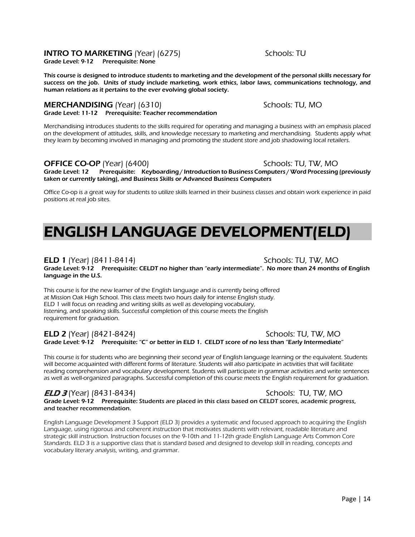## **INTRO TO MARKETING** (Year) (6275) Schools: TU

Grade Level: 9-12 Prerequisite: None

This course is designed to introduce students to marketing and the development of the personal skills necessary for success on the job. Units of study include marketing, work ethics, labor laws, communications technology, and human relations as it pertains to the ever evolving global society.

### **MERCHANDISING** (Year) (6310) Schools: TU, MO Grade Level: 11-12 Prerequisite: Teacher recommendation

Merchandising introduces students to the skills required for operating and managing a business with an emphasis placed on the development of attitudes, skills, and knowledge necessary to marketing and merchandising. Students apply what they learn by becoming involved in managing and promoting the student store and job shadowing local retailers.

## OFFICE CO-OP (Year) (6400) Schools: TU, TW, MO

Grade Level: 12 Prerequisite: Keyboarding / Introduction to Business Computers / Word Processing (previously taken or currently taking), and Business Skills or Advanced Business Computers

Office Co-op is a great way for students to utilize skills learned in their business classes and obtain work experience in paid positions at real job sites.

# ENGLISH LANGUAGE DEVELOPMENT(ELD)

## ELD 1 (Year) (8411-8414) Schools: TU, TW, MO

Grade Level: 9-12 Prerequisite: CELDT no higher than "early intermediate". No more than 24 months of English language in the U.S.

This course is for the new learner of the English language and is currently being offered at Mission Oak High School. This class meets two hours daily for intense English study. ELD 1 will focus on reading and writing skills as well as developing vocabulary, listening, and speaking skills. Successful completion of this course meets the English requirement for graduation.

ELD 2 (Year) (8421-8424) Schools: TU, TW, MO Grade Level: 9-12 Prerequisite: "C" or better in ELD 1. CELDT score of no less than "Early Intermediate"

This course is for students who are beginning their second year of English language learning or the equivalent. Students will become acquainted with different forms of literature. Students will also participate in activities that will facilitate reading comprehension and vocabulary development. Students will participate in grammar activities and write sentences as well as well-organized paragraphs. Successful completion of this course meets the English requirement for graduation.

### *ELD 3* (Year) (8431-8434) Schools: TU, TW, MO Grade Level: 9-12 Prerequisite: Students are placed in this class based on CELDT scores, academic progress, and teacher recommendation.

English Language Development 3 Support (ELD 3) provides a systematic and focused approach to acquiring the English Language, using rigorous and coherent instruction that motivates students with relevant, readable literature and strategic skill instruction. Instruction focuses on the 9-10th and 11-12th grade English Language Arts Common Core Standards. ELD 3 is a supportive class that is standard based and designed to develop skill in reading, concepts and vocabulary literary analysis, writing, and grammar.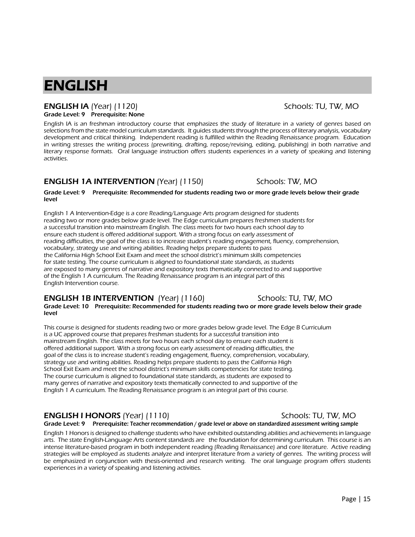# ENGLISH

### ENGLISH lA (Year) (1120) Schools: TU, TW, MO Grade Level: 9 Prerequisite: None

English IA is an freshman introductory course that emphasizes the study of literature in a variety of genres based on selections from the state model curriculum standards. It guides students through the process of literary analysis, vocabulary development and critical thinking. Independent reading is fulfilled within the Reading Renaissance program. Education in writing stresses the writing process (prewriting, drafting, repose/revising, editing, publishing) in both narrative and literary response formats. Oral language instruction offers students experiences in a variety of speaking and listening activities.

## **ENGLISH 1A INTERVENTION** (Year) (1150) Schools: TW, MO

### Grade Level: 9 Prerequisite: Recommended for students reading two or more grade levels below their grade level

English 1 A Intervention-Edge is a core Reading/Language Arts program designed for students reading two or more grades below grade level. The Edge curriculum prepares freshmen students for a successful transition into mainstream English. The class meets for two hours each school day to ensure each student is offered additional support. With a strong focus on early assessment of reading difficulties, the goal of the class is to increase student's reading engagement, fluency, comprehension, vocabulary, strategy use and writing abilities. Reading helps prepare students to pass the California High School Exit Exam and meet the school district's minimum skills competencies for state testing. The course curriculum is aligned to foundational state standards, as students are exposed to many genres of narrative and expository texts thematically connected to and supportive of the English 1 A curriculum. The Reading Renaissance program is an integral part of this English Intervention course.

## **ENGLISH 1B INTERVENTION** (Year) (1160) Schools: TU, TW, MO

### Grade Level: 10 Prerequisite: Recommended for students reading two or more grade levels below their grade level

This course is designed for students reading two or more grades below grade level. The Edge B Curriculum is a UC approved course that prepares freshman students for a successful transition into mainstream English. The class meets for two hours each school day to ensure each student is offered additional support. With a strong focus on early assessment of reading difficulties, the goal of the class is to increase student's reading engagement, fluency, comprehension, vocabulary, strategy use and writing abilities. Reading helps prepare students to pass the California High School Exit Exam and meet the school district's minimum skills competencies for state testing. The course curriculum is aligned to foundational state standards, as students are exposed to many genres of narrative and expository texts thematically connected to and supportive of the English 1 A curriculum. The Reading Renaissance program is an integral part of this course.

# **ENGLISH I HONORS** (Year) (1110) Schools: TU, TW, MO

English 1 Honors is designed to challenge students who have exhibited outstanding abilities and achievements in language arts. The state English-Language Arts content standards are the foundation for determining curriculum. This course is an intense literature-based program in both independent reading (Reading Renaissance) and core literature. Active reading strategies will be employed as students analyze and interpret literature from a variety of genres. The writing process will be emphasized in conjunction with thesis-oriented and research writing. The oral language program offers students experiences in a variety of speaking and listening activities.

# Grade Level: 9 Prerequisite: Teacher recommendation / grade level or above on standardized assessment writing sample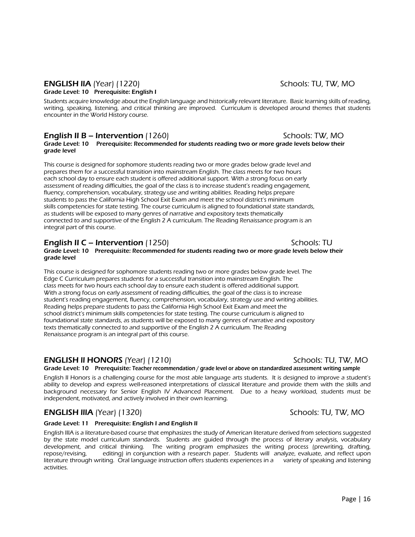### ENGLISH llA (Year) (1220) Schools: TU, TW, MO Grade Level: 10 Prerequisite: English I

Students acquire knowledge about the English language and historically relevant literature. Basic learning skills of reading, writing, speaking, listening, and critical thinking are improved. Curriculum is developed around themes that students encounter in the World History course.

## **English II B – Intervention** (1260) Schools: TW, MO

Grade Level: 10 Prerequisite: Recommended for students reading two or more grade levels below their grade level

This course is designed for sophomore students reading two or more grades below grade level and prepares them for a successful transition into mainstream English. The class meets for two hours each school day to ensure each student is offered additional support. With a strong focus on early assessment of reading difficulties, the goal of the class is to increase student's reading engagement, fluency, comprehension, vocabulary, strategy use and writing abilities. Reading helps prepare students to pass the California High School Exit Exam and meet the school district's minimum skills competencies for state testing. The course curriculum is aligned to foundational state standards, as students will be exposed to many genres of narrative and expository texts thematically connected to and supportive of the English 2 A curriculum. The Reading Renaissance program is an integral part of this course.

## **English II C – Intervention** (1250) Schools: TU

Grade Level: 10 Prerequisite: Recommended for students reading two or more grade levels below their grade level

This course is designed for sophomore students reading two or more grades below grade level. The Edge C Curriculum prepares students for a successful transition into mainstream English. The class meets for two hours each school day to ensure each student is offered additional support. With a strong focus on early assessment of reading difficulties, the goal of the class is to increase student's reading engagement, fluency, comprehension, vocabulary, strategy use and writing abilities. Reading helps prepare students to pass the California High School Exit Exam and meet the school district's minimum skills competencies for state testing. The course curriculum is aligned to foundational state standards, as students will be exposed to many genres of narrative and expository texts thematically connected to and supportive of the English 2 A curriculum. The Reading Renaissance program is an integral part of this course.

# ENGLISH ll HONORS (Year) (1210) Schools: TU, TW, MO

Grade Level: 10 Prerequisite: Teacher recommendation / grade level or above on standardized assessment writing sample

English II Honors is a challenging course for the most able language arts students. It is designed to improve a student's ability to develop and express well-reasoned interpretations of classical literature and provide them with the skills and background necessary for Senior English IV Advanced Placement. Due to a heavy workload, students must be independent, motivated, and actively involved in their own learning.

# **ENGLISH IIIA** (Year) (1320) Schools: TU, TW, MO

### Grade Level: 11 Prerequisite: English I and English II

English IIIA is a literature-based course that emphasizes the study of American literature derived from selections suggested by the state model curriculum standards. Students are guided through the process of literary analysis, vocabulary development, and critical thinking. The writing program emphasizes the writing process (prewriting, drafting, repose/revising, editing) in conjunction with a research paper. Students will analyze, evaluate, and reflect upon literature through writing. Oral language instruction offers students experiences in a variety of speaking and listening activities.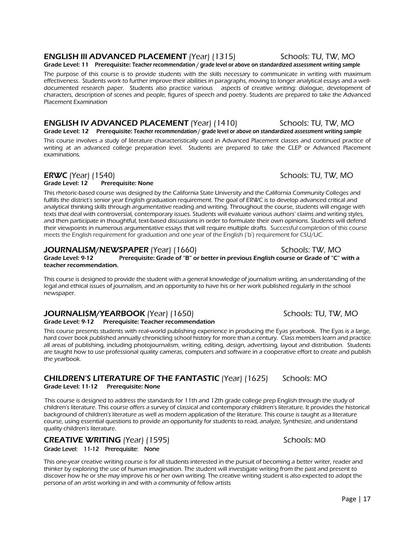## **ENGLISH III ADVANCED PLACEMENT** (Year) (1315) Schools: TU, TW, MO

Grade Level: 11 Prerequisite: Teacher recommendation / grade level or above on standardized assessment writing sample

 The purpose of this course is to provide students with the skills necessary to communicate in writing with maximum effectiveness. Students work to further improve their abilities in paragraphs, moving to longer analytical essays and a welldocumented research paper. Students also practice various aspects of creative writing: dialogue, development of characters, description of scenes and people, figures of speech and poetry. Students are prepared to take the Advanced Placement Examination

### **ENGLISH IV ADVANCED PLACEMENT** (Year) (1410) Schools: TU, TW, MO Grade Level: 12 Prerequisite: Teacher recommendation / grade level or above on standardized assessment writing sample

This course involves a study of literature characteristically used in Advanced Placement classes and continued practice of writing at an advanced college preparation level. Students are prepared to take the CLEP or Advanced Placement examinations.

# ERWC (Year) (1540)<br>Grade Level: 12 Prerequisite: None

Prerequisite: None

This rhetoric-based course was designed by the California State University and the California Community Colleges and fulfills the district's senior year English graduation requirement. The goal of ERWC is to develop advanced critical and analytical thinking skills through argumentative reading and writing. Throughout the course, students will engage with texts that deal with controversial, contemporary issues. Students will evaluate various authors' claims and writing styles, and then participate in thoughtful, text-based discussions in order to formulate their own opinions. Students will defend their viewpoints in numerous argumentative essays that will require multiple drafts. Successful completion of this course meets the English requirement for graduation and one year of the English ('b') requirement for CSU/UC.

## **JOURNALISM/NEWSPAPER** (Year) (1660) Schools: TW, MO

Grade Level: 9-12 Prerequisite: Grade of "B" or better in previous English course or Grade of "C" with a teacher recommendation.

This course is designed to provide the student with a general knowledge of journalism writing, an understanding of the legal and ethical issues of journalism, and an opportunity to have his or her work published regularly in the school newspaper.

# **JOURNALISM/YEARBOOK** (Year) (1650) Schools: TU, TW, MO

Grade Level: 9-12 Prerequisite: Teacher recommendation

This course presents students with real-world publishing experience in producing the Eyas yearbook. The Eyas is a large, hard cover book published annually chronicling school history for more than a century. Class members learn and practice all areas of publishing, including photojournalism, writing, editing, design, advertising, layout and distribution. Students are taught how to use professional quality cameras, computers and software in a cooperative effort to create and publish the yearbook.

# CHILDREN'S LITERATURE OF THE FANTASTIC (Year) (1625) Schools: MO

Grade Level: 11-12 Prerequisite: None

This course is designed to address the standards for 11th and 12th grade college prep English through the study of children's literature. This course offers a survey of classical and contemporary children's literature. It provides the historical background of children's literature as well as modern application of the literature. This course is taught as a literature course, using essential questions to provide an opportunity for students to read, analyze, Synthesize, and understand quality children's literature.

CREATIVE WRITING (Year) (1595) Schools: MO Grade Level: 11-12 Prerequisite: None

This one-year creative writing course is for all students interested in the pursuit of becoming a better writer, reader and thinker by exploring the use of human imagination. The student will investigate writing from the past and present to discover how he or she may improve his or her own writing. The creative writing student is also expected to adopt the persona of an artist working in and with a community of fellow artists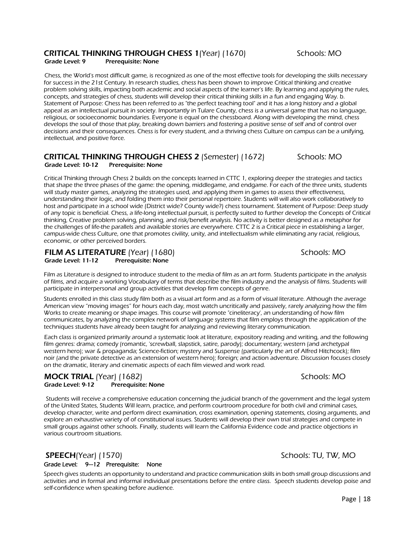### CRITICAL THINKING THROUGH CHESS 1(Year) (1670) Schools: MO Grade Level: 9 Prerequisite: None

Chess, the World's most difficult game, is recognized as one of the most effective tools for developing the skills necessary for success in the 21st Century. In research studies, chess has been shown to improve Critical thinking and creative problem solving skills, impacting both academic and social aspects of the learner's life. By learning and applying the rules, concepts, and strategies of chess, students will develop their critical thinking skills in a fun and engaging Way. b. Statement of Purpose: Chess has been referred to as "the perfect teaching tool" and it has a long history and a global appeal as an intellectual pursuit in society. Importantly in Tulare County, chess is a universal game that has no language, religious, or socioeconomic boundaries. Everyone is equal on the chessboard. Along with developing the mind, chess develops the soul of those that play, breaking down barriers and fostering a positive sense of self and of control over decisions and their consequences. Chess is for every student, and a thriving chess Culture on campus can be a unifying, intellectual, and positive force.

### CRITICAL THINKING THROUGH CHESS 2 (Semester) (1672) Schools: MO Grade Level: 10-12 Prerequisite: None

Critical Thinking through Chess 2 builds on the concepts learned in CTTC 1, exploring deeper the strategies and tactics that shape the three phases of the game: the opening, middlegame, and endgame. For each of the three units, students will study master games, analyzing the strategies used, and applying them in games to assess their effectiveness, understanding their logic, and folding them into their personal repertoire. Students will will also work collaboratively to host and participate in a school wide (District wide? County wide?) chess tournament. Statement of Purpose: Deep study of any topic is beneficial. Chess, a life-long intellectual pursuit, is perfectly suited to further develop the Concepts of Critical thinking, Creative problem solving, planning, and risk/benefit analysis. No activity is better designed as a metaphor for the challenges of life-the parallels and available stories are everywhere. CTTC 2 is a Critical piece in establishing a larger, campus-wide chess Culture, one that promotes civility, unity, and intellectualism while eliminating any racial, religious, economic, or other perceived borders.

### FILM AS LITERATURE (Year) (1680)<br>Grade Level: 11-12 Prerequisite: None Prerequisite: None

Film as Literature is designed to introduce student to the media of film as an art form. Students participate in the analysis of films, and acquire a working Vocabulary of terms that describe the film industry and the analysis of films. Students will participate in interpersonal and group activities that develop firm concepts of genre.

Students enrolled in this class study film both as a visual art form and as a form of visual literature. Although the average American view "moving images" for hours each day, most watch uncritically and passively, rarely analyzing how the film Works to create meaning or shape images. This course will promote "cineliteracy', an understanding of how film communicates, by analyzing the complex network of language systems that film employs through the application of the techniques students have already been taught for analyzing and reviewing literary communication.

Each class is organized primarily around a systematic look at literature, expository reading and writing, and the following film genres: drama; comedy (romantic, 'screwball, slapstick, satire, parody); documentary; western (and archetypal western hero); war & propaganda; Science-fiction; mystery and Suspense (particularly the art of Alfred Hitchcock); film noir (and the private detective as an extension of western hero); foreign; and action adventure. Discussion focuses closely on the dramatic, literary and cinematic aspects of each film viewed and work read.

### **MOCK TRIAL** (Year) (1682)<br>
Grade Level: 9-12 Prerequisite: None Grade Level: 9-12

Students will receive a comprehensive education concerning the judicial branch of the government and the legal system of the United States, Students Will learn, practice, and perform courtroom procedure for both civil and criminal cases, develop character, write and perform direct examination, cross examination, opening statements, closing arguments, and explore an exhaustive variety of of constitutional issues. Students will develop their own trial strategies and compete in small groups against other schools. Finally, students will learn the California Evidence code and practice objections in various courtroom situations.

### SPEECH(Year) (1570) Schools: TU, TW, MO Grade Level: 9—12 Prerequisite: None

Speech gives students an opportunity to understand and practice communication skills in both small group discussions and activities and in formal and informal individual presentations before the entire class. Speech students develop poise and self-confidence when speaking before audience.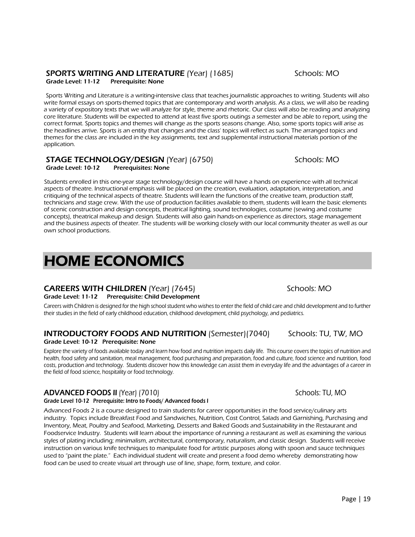## SPORTS WRITING AND LITERATURE (Year) (1685) Schools: MO

Grade Level: 11-12 Prerequisite: None

Sports Writing and Literature is a writing-intensive class that teaches journalistic approaches to writing. Students will also write formal essays on sports-themed topics that are contemporary and worth analysis. As a class, we will also be reading a variety of expository texts that we will analyze for style, theme and rhetoric. Our class will also be reading and analyzing core literature. Students will be expected to attend at least five sports outings a semester and be able to report, using the correct format. Sports topics and themes will change as the sports seasons change. Also, some sports topics will arise as the headlines arrive. Sports is an entity that changes and the class' topics will reflect as such. The arranged topics and themes for the class are included in the key assignments, text and supplemental instructional materials portion of the application.

### **STAGE TECHNOLOGY/DESIGN** (Year) (6750)<br>Grade Level: 10-12 Prerequisites: None Prerequisites: None

Students enrolled in this one-year stage technology/design course will have a hands on experience with all technical aspects of theatre. Instructional emphasis will be placed on the creation, evaluation, adaptation, interpretation, and critiquing of the technical aspects of theatre. Students will learn the functions of the creative team, production staff, technicians and stage crew. With the use of production facilities available to them, students will learn the basic elements of scenic construction and design concepts, theatrical lighting, sound technologies, costume (sewing and costume concepts), theatrical makeup and design. Students will also gain hands-on experience as directors, stage management and the business aspects of theater. The students will be working closely with our local community theater as well as our own school productions.

# HOME ECONOMICS

# **CAREERS WITH CHILDREN** (Year) (7645) Schools: MO

### Grade Level: 11-12 Prerequisite: Child Development

Careers with Children is designed for the high school student who wishes to enter the field of child care and child development and to further their studies in the field of early childhood education, childhood development, child psychology, and pediatrics.

### **INTRODUCTORY FOODS AND NUTRITION** (Semester)(7040) Schools: TU, TW, MO Grade Level: 10-12 Prerequisite: None

 Explore the variety of foods available today and learn how food and nutrition impacts daily life. This course covers the topics of nutrition and health, food safety and sanitation, meal management, food purchasing and preparation, food and culture, food science and nutrition, food costs, production and technology. Students discover how this knowledge can assist them in everyday life and the advantages of a career in the field of food science, hospitality or food technology.

# ADVANCED FOODS II (Year) (7010) Schools: TU, MO

### Grade Level 10-12 Prerequisite: Intro to Foods/ Advanced foods I

Advanced Foods 2 is a course designed to train students for career opportunities in the food service/culinary arts industry. Topics include Breakfast Food and Sandwiches, Nutrition, Cost Control, Salads and Garnishing, Purchasing and Inventory, Meat, Poultry and Seafood, Marketing, Desserts and Baked Goods and Sustainability in the Restaurant and Foodservice Industry. Students will learn about the importance of running a restaurant as well as examining the various styles of plating including; minimalism, architectural, contemporary, naturalism, and classic design. Students will receive instruction on various knife techniques to manipulate food for artistic purposes along with spoon and sauce techniques used to "paint the plate." Each individual student will create and present a food demo whereby demonstrating how food can be used to create visual art through use of line, shape, form, texture, and color.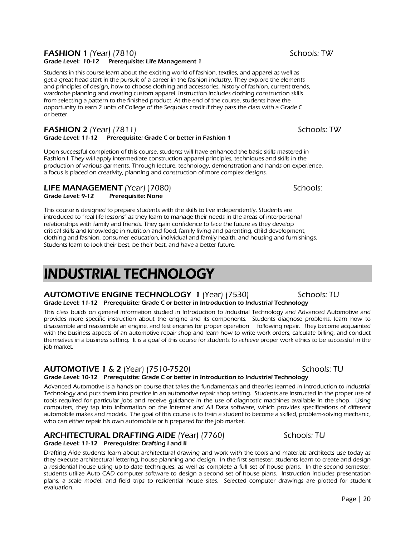### **FASHION 1** (Year) (7810) Schools: TW Grade Level: 10-12 Prerequisite: Life Management 1

Students in this course learn about the exciting world of fashion, textiles, and apparel as well as get a great head start in the pursuit of a career in the fashion industry. They explore the elements and principles of design, how to choose clothing and accessories, history of fashion, current trends, wardrobe planning and creating custom apparel. Instruction includes clothing construction skills from selecting a pattern to the finished product. At the end of the course, students have the opportunity to earn 2 units of College of the Sequoias credit if they pass the class with a Grade C or better.

### **FASHION 2** (Year) (7811) Schools: TW Grade Level: 11-12 Prerequisite: Grade C or better in Fashion 1

Upon successful completion of this course, students will have enhanced the basic skills mastered in Fashion I. They will apply intermediate construction apparel principles, techniques and skills in the production of various garments. Through lecture, technology, demonstration and hands-on experience, a focus is placed on creativity, planning and construction of more complex designs.

### LIFE MANAGEMENT (Year) |7080)<br>Grade Level: 9-12 Prerequisite: None Prerequisite: None

This course is designed to prepare students with the skills to live independently. Students are introduced to "real life lessons" as they learn to manage their needs in the areas of interpersonal relationships with family and friends. They gain confidence to face the future as they develop critical skills and knowledge in nutrition and food, family living and parenting, child development, clothing and fashion, consumer education, individual and family health, and housing and furnishings. Students learn to look their best, be their best, and have a better future.

# INDUSTRIAL TECHNOLOGY

### AUTOMOTIVE ENGINE TECHNOLOGY 1 (Year) (7530) Schools: TU Grade Level: 11-12 Prerequisite: Grade C or better in Introduction to Industrial Technology

This class builds on general information studied in Introduction to Industrial Technology and Advanced Automotive and provides more specific instruction about the engine and its components. Students diagnose problems, learn how to disassemble and reassemble an engine, and test engines for proper operation following repair. They become acquainted with the business aspects of an automotive repair shop and learn how to write work orders, calculate billing, and conduct themselves in a business setting. It is a goal of this course for students to achieve proper work ethics to be successful in the job market.

# **AUTOMOTIVE 1 & 2** (Year) (7510-7520) Schools: TU

Grade Level: 10-12 Prerequisite: Grade C or better in Introduction to Industrial Technology Advanced Automotive is a hands-on course that takes the fundamentals and theories learned in Introduction to Industrial Technology and puts them into practice in an automotive repair shop setting. Students are instructed in the proper use of tools required for particular jobs and receive guidance in the use of diagnostic machines available in the shop. Using computers, they tap into information on the Internet and All Data software, which provides specifications of different automobile makes and models. The goal of this course is to train a student to become a skilled, problem-solving mechanic, who can either repair his own automobile or is prepared for the job market.

# ARCHITECTURAL DRAFTING AIDE (Year) (7760) Schools: TU

### Grade Level: 11-12 Prerequisite: Drafting I and II

Drafting Aide students learn about architectural drawing and work with the tools and materials architects use today as they execute architectural lettering, house planning and design. In the first semester, students learn to create and design a residential house using up-to-date techniques, as well as complete a full set of house plans. In the second semester, students utilize Auto CAD computer software to design a second set of house plans. Instruction includes presentation plans, a scale model, and field trips to residential house sites. Selected computer drawings are plotted for student evaluation.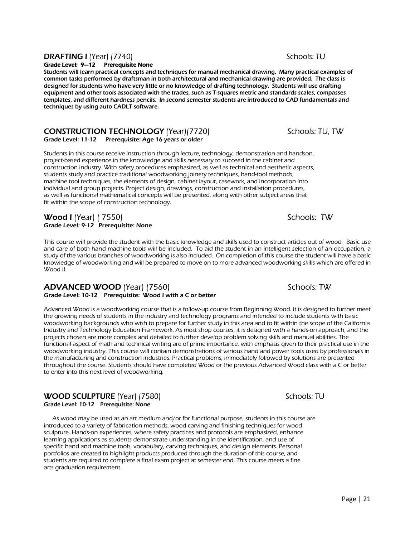# **DRAFTING I** (Year) (7740) Schools: TU

### Grade Level: 9—12 Prerequisite None

Students will learn practical concepts and techniques for manual mechanical drawing. Many practical examples of common tasks performed by draftsman in both architectural and mechanical drawing are provided. The class is designed for students who have very little or no knowledge of drafting technology. Students will use drafting equipment and other tools associated with the trades, such as T-squares metric and standards scales, compasses templates, and different hardness pencils. In second semester students are introduced to CAD fundamentals and techniques by using auto CADLT software.

# **CONSTRUCTION TECHNOLOGY** (Year)(7720) Schools: TU, TW

Grade Level: 11-12 Prerequisite: Age 16 years or older

Students in this course receive instruction through lecture, technology, demonstration and handson, project-based experience in the knowledge and skills necessary to succeed in the cabinet and construction industry. With safety procedures emphasized, as well as technical and aesthetic aspects, students study and practice traditional woodworking joinery techniques, hand-tool methods, machine tool techniques, the elements of design, cabinet layout, casework, and incorporation into individual and group projects. Project design, drawings, construction and installation procedures, as well as functional mathematical concepts will be presented, along with other subject areas that fit within the scope of construction technology.

### **Wood I** (Year) (7550) Schools: TW Grade Level: 9-12 Prerequisite: None

This course will provide the student with the basic knowledge and skills used to construct articles out of wood. Basic use and care of both hand machine tools will be included. To aid the student in an intelligent selection of an occupation, a study of the various branches of woodworking is also included. On completion of this course the student will have a basic knowledge of woodworking and will be prepared to move on to more advanced woodworking skills which are offered in Wood II.

### ADVANCED WOOD (Year) (7560) Schools: TW Grade Level: 10-12 Prerequisite: Wood I with a C or better

Advanced Wood is a woodworking course that is a follow-up course from Beginning Wood. It is designed to further meet the growing needs of students in the industry and technology programs and intended to include students with basic woodworking backgrounds who wish to prepare for further study in this area and to fit within the scope of the California Industry and Technology Education Framework. As most shop courses, it is designed with a hands-on approach, and the projects chosen are more complex and detailed to further develop problem solving skills and manual abilities. The functional aspect of math and technical writing are of prime importance, with emphasis given to their practical use in the woodworking industry. This course will contain demonstrations of various hand and power tools used by professionals in the manufacturing and construction industries. Practical problems, immediately followed by solutions are presented throughout the course. Students should have completed Wood or the previous Advanced Wood class with a C or better to enter into this next level of woodworking.

## WOOD SCULPTURE (Year) (7580) Schools: TU Grade Level: 10-12 Prerequisite: None

 As wood may be used as an art medium and/or for functional purpose, students in this course are introduced to a variety of fabrication methods, wood carving and finishing techniques for wood sculpture. Hands-on experiences, where safety practices and protocols are emphasized, enhance learning applications as students demonstrate understanding in the identification, and use of specific hand and machine tools, vocabulary, carving techniques, and design elements. Personal portfolios are created to highlight products produced through the duration of this course, and students are required to complete a final exam project at semester end. This course meets a fine arts graduation requirement.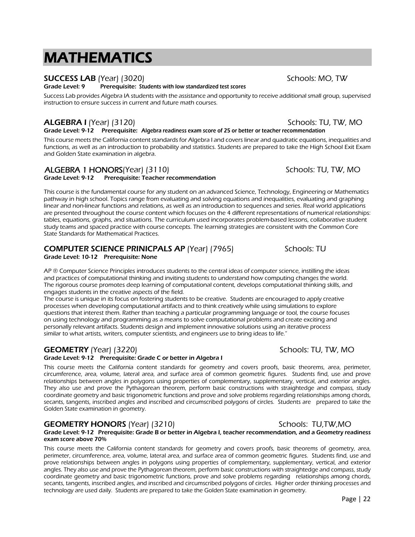# MATHEMATICS

# SUCCESS LAB (Year) (3020) SUCCESS LAB (Year) (3020)

Grade Level: 9 Prerequisite: Students with low standardized test scores

Success Lab provides Algebra IA students with the assistance and opportunity to receive additional small group, supervised instruction to ensure success in current and future math courses.

# ALGEBRA I (Year) (3120) **ALGEBRA I** (Year) (3120)

Grade Level: 9-12 Prerequisite: Algebra readiness exam score of 25 or better or teacher recommendation

This course meets the California content standards for Algebra I and covers linear and quadratic equations, inequalities and functions, as well as an introduction to probability and statistics. Students are prepared to take the High School Exit Exam and Golden State examination in algebra.

# ALGEBRA 1 HONORS(Year) (3110) Schools: TU, TW, MO

Grade Level: 9-12 Prerequisite: Teacher recommendation

This course is the fundamental course for any student on an advanced Science, Technology, Engineering or Mathematics pathway in high school. Topics range from evaluating and solving equations and inequalities, evaluating and graphing linear and non-linear functions and relations, as well as an introduction to sequences and series. Real world applications are presented throughout the course content which focuses on the 4 different representations of numerical relationships: tables, equations, graphs, and situations. The curriculum used incorporates problem-based lessons, collaborative student study teams and spaced practice with course concepts. The learning strategies are consistent with the Common Core State Standards for Mathematical Practices.

### **COMPUTER SCIENCE PRINICPALS AP** (Year) (7965) Schools: TU Grade Level: 10-12 Prerequisite: None

AP ® Computer Science Principles introduces students to the central ideas of computer science, instilling the ideas and practices of computational thinking and inviting students to understand how computing changes the world. The rigorous course promotes deep learning of computational content, develops computational thinking skills, and engages students in the creative aspects of the field.

The course is unique in its focus on fostering students to be creative. Students are encouraged to apply creative processes when developing computational artifacts and to think creatively while using simulations to explore questions that interest them. Rather than teaching a particular programming language or tool, the course focuses on using technology and programming as a means to solve computational problems and create exciting and personally relevant artifacts. Students design and implement innovative solutions using an iterative process similar to what artists, writers, computer scientists, and engineers use to bring ideas to life."

# GEOMETRY (Year) (3220) Schools: TU, TW, MO

### Grade Level: 9-12 Prerequisite: Grade C or better in Algebra I

This course meets the California content standards for geometry and covers proofs, basic theorems, area, perimeter, circumference, area, volume, lateral area, and surface area of common geometric figures. Students find, use and prove relationships between angles in polygons using properties of complementary, supplementary, vertical, and exterior angles. They also use and prove the Pythagorean theorem, perform basic constructions with straightedge and compass, study coordinate geometry and basic trigonometric functions and prove and solve problems regarding relationships among chords, secants, tangents, inscribed angles and inscribed and circumscribed polygons of circles. Students are prepared to take the Golden State examination in geometry.

# GEOMETRY HONORS (Year) (3210) Schools: TU,TW,MO

### Grade Level: 9-12 Prerequisite: Grade B or better in Algebra I, teacher recommendation, and a Geometry readiness exam score above 70%

This course meets the California content standards for geometry and covers proofs, basic theorems of geometry, area, perimeter, circumference, area, volume, lateral area, and surface area of common geometric figures. Students find, use and prove relationships between angles in polygons using properties of complementary, supplementary, vertical, and exterior angles. They also use and prove the Pythagorean theorem, perform basic constructions with straightedge and compass, study coordinate geometry and basic trigonometric functions, prove and solve problems regarding relationships among chords, secants, tangents, inscribed angles, and inscribed and circumscribed polygons of circles. Higher order thinking processes and technology are used daily. Students are prepared to take the Golden State examination in geometry.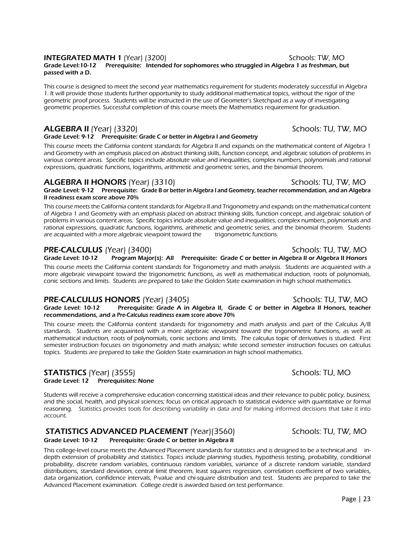## **INTEGRATED MATH 1** (Year) (3200) **Schools: TW, MO** Schools: TW, MO

### Grade Level:10-12 Prerequisite: Intended for sophomores who struggled in Algebra 1 as freshman, but passed with a D.

This course is designed to meet the second year mathematics requirement for students moderately successful in Algebra 1. It will provide those students further opportunity to study additional mathematical topics, without the rigor of the geometric proof process. Students will be instructed in the use of Geometer's Sketchpad as a way of investigating geometric properties. Successful completion of this course meets the Mathematics requirement for graduation.

# ALGEBRA II (Year) (3320) Schools: TU, TW, MO

### Grade Level: 9-12 Prerequisite: Grade C or better in Algebra I and Geometry

 This course meets the California content standards for Algebra II and expands on the mathematical content of Algebra 1 and Geometry with an emphasis placed on abstract thinking skills, function concept, and algebraic solution of problems in various content areas. Specific topics include absolute value and inequalities, complex numbers, polynomials and rational expressions, quadratic functions, logarithms, arithmetic and geometric series, and the binomial theorem.

# ALGEBRA II HONORS (Year) (3310) Schools: TU, TW, MO

Grade Level: 9-12 Prerequisite: Grade B or better in Algebra I and Geometry, teacher recommendation, and an Algebra II readiness exam score above 70%

This course meets the California content standards for Algebra II and Trigonometry and expands on the mathematical content of Algebra 1 and Geometry with an emphasis placed on abstract thinking skills, function concept, and algebraic solution of problems in various content areas. Specific topics include absolute value and inequalities, complex numbers, polynomials and rational expressions, quadratic functions, logarithms, arithmetic and geometric series, and the binomial theorem. Students are acquainted with a more algebraic viewpoint toward the trigonometric functions.

## PRE-CALCULUS (Year) (3400) Schools: TU, TW, MO

Grade Level: 10-12 Program Major(s): All Prerequisite: Grade C or better in Algebra II or Algebra II Honors

This course meets the California content standards for Trigonometry and math analysis. Students are acquainted with a more algebraic viewpoint toward the trigonometric functions, as well as mathematical induction, roots of polynomials, conic sections and limits. Students are prepared to take the Golden State examination in high school mathematics.

# **PRE-CALCULUS HONORS** (Year) (3405) Network the Schools: TU, TW, MO

Grade Level: 10-12 Prerequisite: Grade A in Algebra II, Grade C or better in Algebra II Honors, teacher recommendations, and a Pre-Calculus readiness exam score above 70%

This course meets the California content standards for trigonometry and math analysis and part of the Calculus A/B standards. Students are acquainted with a more algebraic viewpoint toward the trigonometric functions, as well as mathematical induction, roots of polynomials, conic sections and limits. The calculus topic of derivatives is studied. First semester instruction focuses on trigonometry and math analysis; while second semester instruction focuses on calculus topics. Students are prepared to take the Golden State examination in high school mathematics.

### STATISTICS (Year) (3555) STATISTICS (Year) (3555) Grade Level: 12 Prerequisites: None

Students will receive a comprehensive education concerning statistical ideas and their relevance to public policy, business, and the social, health, and physical sciences; focus on critical approach to statistical evidence with quantitative or formal reasoning. Statistics provides tools for describing variability in data and for making informed decisions that take it into account.

# **STATISTICS ADVANCED PLACEMENT** (Year)(3560) Schools: TU, TW, MO

### Grade Level: 10-12 Prerequisite: Grade C or better in Algebra II

This college-level course meets the Advanced Placement standards for statistics and is designed to be a technical and indepth extension of probability and statistics. Topics include planning studies, hypothesis testing, probability, conditional probability, discrete random variables, continuous random variables, variance of a discrete random variable, standard distributions, standard deviation, central limit theorem, least squares regression, correlation coefficient of two variables, data organization, confidence intervals, P-value and chi-square distribution and test. Students are prepared to take the Advanced Placement examination. College credit is awarded based on test performance.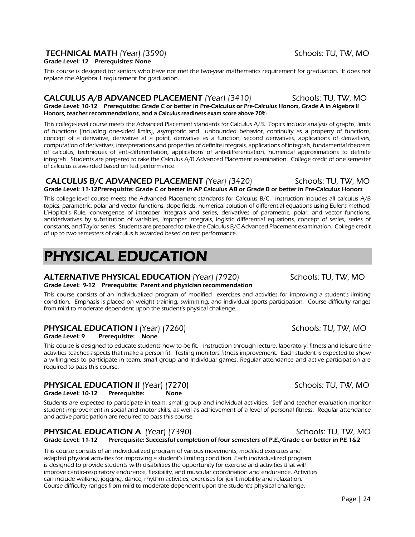## **TECHNICAL MATH** (Year) (3590) **SEED AND SCHOOLS: TU, TW, MO**

### Grade Level: 12 Prerequisites: None

This course is designed for seniors who have not met the two-year mathematics requirement for graduation. It does not replace the Algebra 1 requirement for graduation.

### **CALCULUS A/B ADVANCED PLACEMENT** (Year) (3410) Schools: TU, TW, MO Grade Level: 10-12 Prerequisite: Grade C or better in Pre-Calculus or Pre-Calculus Honors, Grade A in Algebra II Honors, teacher recommendations, and a Calculus readiness exam score above 70%

This college-level course meets the Advanced Placement standards for Calculus A/B. Topics include analysis of graphs, limits of functions (including one-sided limits), asymptotic and unbounded behavior, continuity as a property of functions, concept of a derivative, derivative at a point, derivative as a function, second derivatives, applications of derivatives, computation of derivatives, interpretations and properties of definite integrals, applications of integrals, fundamental theorem of calculus, techniques of anti-differentiation, applications of anti-differentiation, numerical approximations to definite integrals. Students are prepared to take the Calculus A/B Advanced Placement examination. College credit of one semester of calculus is awarded based on test performance.

### **CALCULUS B/C ADVANCED PLACEMENT** (Year) (3420) Schools: TU, TW, MO Grade Level: 11-12Prerequisite: Grade C or better in AP Calculus AB or Grade B or better in Pre-Calculus Honors

This college-level course meets the Advanced Placement standards for Calculus B/C. Instruction includes all calculus A/B topics, parametric, polar and vector functions, slope fields, numerical solution of differential equations using Euler's method, L'Hopital's Rule, convergence of improper integrals and series, derivatives of parametric, polar, and vector functions, antiderivatives by substitution of variables, improper integrals, logistic differential equations, concept of series, series of constants, and Taylor series. Students are prepared to take the Calculus B/C Advanced Placement examination. College credit of up to two semesters of calculus is awarded based on test performance.

# PHYSICAL EDUCATION

## ALTERNATIVE PHYSICAL EDUCATION (Year) (7920) Schools: TU, TW, MO

### Grade Level: 9-12 Prerequisite: Parent and physician recommendation

 This course consists of an individualized program of modified exercises and activities for improving a student's limiting condition. Emphasis is placed on weight training, swimming, and individual sports participation. Course difficulty ranges from mild to moderate dependent upon the student's physical challenge.

# **PHYSICAL EDUCATION I** (Year) (7260) Schools: TU, TW, MO

Grade Level: 9 Prerequisite: None

This course is designed to educate students how to be fit. Instruction through lecture, laboratory, fitness and leisure time activities teaches aspects that make a person fit. Testing monitors fitness improvement. Each student is expected to show a willingness to participate in team, small group and individual games. Regular attendance and active participation are required to pass this course.

# **PHYSICAL EDUCATION II** (Year) (7270) Schools: TU, TW, MO

Grade Level: 10-12 Prerequisite: None

Students are expected to participate in team, small group and individual activities. Self and teacher evaluation monitor student improvement in social and motor skills, as well as achievement of a level of personal fitness. Regular attendance and active participation are required to pass this course.

# **PHYSICAL EDUCATION A** (Year) (7390)<br>Grade Level: 11-12 Prerequisite: Successful completion of four semesters of P.E./Grade c or better in PE 1&2

This course consists of an individualized program of various movements, modified exercises and adapted physical activities for improving a student's limiting condition. Each individualized program is designed to provide students with disabilities the opportunity for exercise and activities that will improve cardio-respiratory endurance, flexibility, and muscular coordination and endurance. Activities can include walking, jogging, dance, rhythm activities, exercises for joint mobility and relaxation. Course difficulty ranges from mild to moderate dependent upon the student's physical challenge.

Prerequisite: Successful completion of four semesters of P.E./Grade c or better in PE 1&2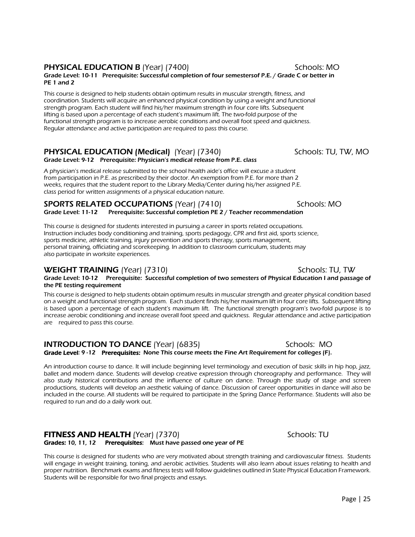### **PHYSICAL EDUCATION B** (Year) (7400) Schools: MO

### Grade Level: 10-11 Prerequisite: Successful completion of four semestersof P.E. / Grade C or better in PE 1 and 2

This course is designed to help students obtain optimum results in muscular strength, fitness, and coordination. Students will acquire an enhanced physical condition by using a weight and functional strength program. Each student will find his/her maximum strength in four core lifts. Subsequent lifting is based upon a percentage of each student's maximum lift. The two-fold purpose of the functional strength program is to increase aerobic conditions and overall foot speed and quickness. Regular attendance and active participation are required to pass this course.

# PHYSICAL EDUCATION (Medical) (Year) (7340) Schools: TU, TW, MO

Grade Level: 9-12 Prerequisite: Physician's medical release from P.E. class

A physician's medical release submitted to the school health aide's office will excuse a student from participation in P.E. as prescribed by their doctor. An exemption from P.E. for more than 2 weeks, requires that the student report to the Library Media/Center during his/her assigned P.E. class period for written assignments of a physical education nature.

### SPORTS RELATED OCCUPATIONS (Year) (7410) Schools: MO Grade Level: 11-12 Prerequisite: Successful completion PE 2 / Teacher recommendation

This course is designed for students interested in pursuing a career in sports related occupations. Instruction includes body conditioning and training, sports pedagogy, CPR and first aid, sports science, sports medicine, athletic training, injury prevention and sports therapy, sports management, personal training, officiating and scorekeeping. In addition to classroom curriculum, students may also participate in worksite experiences.

# **WEIGHT TRAINING** (Year) (7310) Schools: TU, TW

## Grade Level: 10-12 Prerequisite: Successful completion of two semesters of Physical Education I and passage of the PE testing requirement

This course is designed to help students obtain optimum results in muscular strength and greater physical condition based on a weight and functional strength program. Each student finds his/her maximum lift in four core lifts. Subsequent lifting is based upon a percentage of each student's maximum lift. The functional strength program's two-fold purpose is to increase aerobic conditioning and increase overall foot speed and quickness. Regular attendance and active participation are required to pass this course.

### **INTRODUCTION TO DANCE** (Year) (6835) Schools: MO Grade Level: 9-12 Prerequisites: None This course meets the Fine Art Requirement for colleges (F).

An introduction course to dance. It will include beginning level terminology and execution of basic skills in hip hop, jazz, ballet and modern dance. Students will develop creative expression through choreography and performance. They will also study historical contributions and the influence of culture on dance. Through the study of stage and screen productions, students will develop an aesthetic valuing of dance. Discussion of career opportunities in dance will also be included in the course. All students will be required to participate in the Spring Dance Performance. Students will also be required to run and do a daily work out.

# **FITNESS AND HEALTH** (Year) (7370)<br>Grades: 10, 11, 12 Prerequisites: Must have passed one year of PE

This course is designed for students who are very motivated about strength training and cardiovascular fitness. Students will engage in weight training, toning, and aerobic activities. Students will also learn about issues relating to health and proper nutrition. Benchmark exams and fitness tests will follow guidelines outlined in State Physical Education Framework. Students will be responsible for two final projects and essays.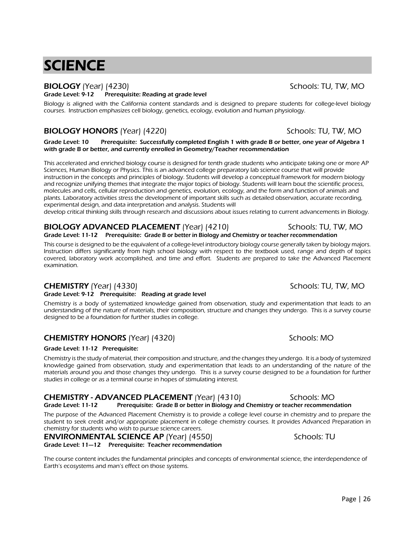# **SCIENCE**

# BIOLOGY (Year) (4230) Schools: TU, TW, MO

### Grade Level: 9-12 Prerequisite: Reading at grade level

Biology is aligned with the California content standards and is designed to prepare students for college-level biology courses. Instruction emphasizes cell biology, genetics, ecology, evolution and human physiology.

# BIOLOGY HONORS (Year) (4220) Schools: TU, TW, MO

Grade Level: 10 Prerequisite: Successfully completed English 1 with grade B or better, one year of Algebra 1 with grade B or better, and currently enrolled in Geometry/Teacher recommendation

This accelerated and enriched biology course is designed for tenth grade students who anticipate taking one or more AP Sciences, Human Biology or Physics. This is an advanced college preparatory lab science course that will provide instruction in the concepts and principles of biology. Students will develop a conceptual framework for modern biology and recognize unifying themes that integrate the major topics of biology. Students will learn bout the scientific process, molecules and cells, cellular reproduction and genetics, evolution, ecology, and the form and function of animals and plants. Laboratory activities stress the development of important skills such as detailed observation, accurate recording, experimental design, and data interpretation and analysis. Students will

develop critical thinking skills through research and discussions about issues relating to current advancements in Biology.

### **BIOLOGY ADVANCED PLACEMENT** (Year) (4210) Schools: TU, TW, MO Grade Level: 11-12 Prerequisite: Grade B or better in Biology and Chemistry or teacher recommendation

 This course is designed to be the equivalent of a college-level introductory biology course generally taken by biology majors. Instruction differs significantly from high school biology with respect to the textbook used, range and depth of topics covered, laboratory work accomplished, and time and effort. Students are prepared to take the Advanced Placement examination.

# **CHEMISTRY** (Year) (4330) **Schools: TU, TW, MO**

### Grade Level: 9-12 Prerequisite: Reading at grade level

Chemistry is a body of systematized knowledge gained from observation, study and experimentation that leads to an understanding of the nature of materials, their composition, structure and changes they undergo. This is a survey course designed to be a foundation for further studies in college.

# **CHEMISTRY HONORS** (Year) (4320) Schools: MO

### Grade Level: 11-12 Prerequisite:

Chemistry is the study of material, their composition and structure, and the changes they undergo. It is a body of systemized knowledge gained from observation, study and experimentation that leads to an understanding of the nature of the materials around you and those changes they undergo. This is a survey course designed to be a foundation for further studies in college or as a terminal course in hopes of stimulating interest.

# CHEMISTRY - ADVANCED PLACEMENT (Year) (4310) Schools: MO

Grade Level: 11-12 Prerequisite: Grade B or better in Biology and Chemistry or teacher recommendation The purpose of the Advanced Placement Chemistry is to provide a college level course in chemistry and to prepare the student to seek credit and/or appropriate placement in college chemistry courses. It provides Advanced Preparation in

### chemistry for students who wish to pursue science careers. **ENVIRONMENTAL SCIENCE AP** (Year) (4550) Schools: TU

Grade Level: 11—12 Prerequisite: Teacher recommendation

The course content includes the fundamental principles and concepts of environmental science, the interdependence of Earth's ecosystems and man's effect on those systems.

Page | 26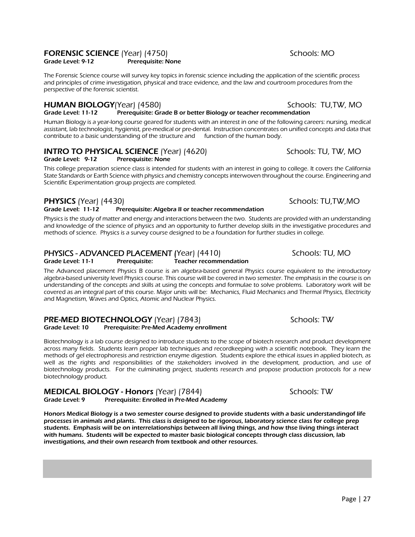### FORENSIC SCIENCE (Year) (4750) Schools: MO Grade Level: 9-12 Prerequisite: None

The Forensic Science course will survey key topics in forensic science including the application of the scientific process and principles of crime investigation, physical and trace evidence, and the law and courtroom procedures from the perspective of the forensic scientist.

### **HUMAN BIOLOGY**(Year) (4580) Schools: TU,TW, MO Grade Level: 11-12 Prerequisite: Grade B or better Biology or teacher recommendation

Human Biology is a year-long course geared for students with an interest in one of the following careers: nursing, medical assistant, lab technologist, hygienist, pre-medical or pre-dental. Instruction concentrates on unified concepts and data that contribute to a basic understanding of the structure and function of the human body.

# **INTRO TO PHYSICAL SCIENCE** (Year) (4620) Schools: TU, TW, MO

Grade Level: 9-12 Prerequisite: None

This college preparation science class is intended for students with an interest in going to college. It covers the California State Standards or Earth Science with physics and chemistry concepts interwoven throughout the course. Engineering and Scientific Experimentation group projects are completed.

# **PHYSICS** (Year) (4430) **Schools: TU,TW,MO**

### Grade Level: 11-12 Prerequisite: Algebra II or teacher recommendation

Physics is the study of matter and energy and interactions between the two. Students are provided with an understanding and knowledge of the science of physics and an opportunity to further develop skills in the investigative procedures and methods of science. Physics is a survey course designed to be a foundation for further studies in college.

# PHYSICS - ADVANCED PLACEMENT (Year) (4410) Schools: TU, MO

The Advanced placement Physics B course is an algebra-based general Physics course equivalent to the introductory algebra-based university level Physics course. This course will be covered in two semester. The emphasis in the course is on understanding of the concepts and skills at using the concepts and formulae to solve problems. Laboratory work will be covered as an integral part of this course. Major units will be: Mechanics, Fluid Mechanics and Thermal Physics, Electricity and Magnetism, Waves and Optics, Atomic and Nuclear Physics.

### **PRE-MED BIOTECHNOLOGY** (Year) (7843) **Schools: TW** Schools: TW Schools: TW Schools: TW Prerequisite: Pre-Med Academy enrollment

Biotechnology is a lab course designed to introduce students to the scope of biotech research and product development across many fields. Students learn proper lab techniques and recordkeeping with a scientific notebook. They learn the methods of gel electrophoresis and restriction enzyme digestion. Students explore the ethical issues in applied biotech, as well as the rights and responsibilities of the stakeholders involved in the development, production, and use of biotechnology products. For the culminating project, students research and propose production protocols for a new biotechnology product.

MEDICAL BIOLOGY - Honors (Year) (7844) Schools: TW Grade Level: 9 Prerequisite: Enrolled in Pre-Med Academy

Honors Medical Biology is a two semester course designed to provide students with a basic understandingof life processes in animals and plants. This class is designed to be rigorous, laboratory science class for college prep students. Emphasis will be on interrelationships between all living things, and how thse living things interact with humans. Students will be expected to master basic biological concepts through class discussion, lab investigations, and their own research from textbook and other resources.

- 
- Grade Level: 11-1 Prerequisite: Teacher recommendation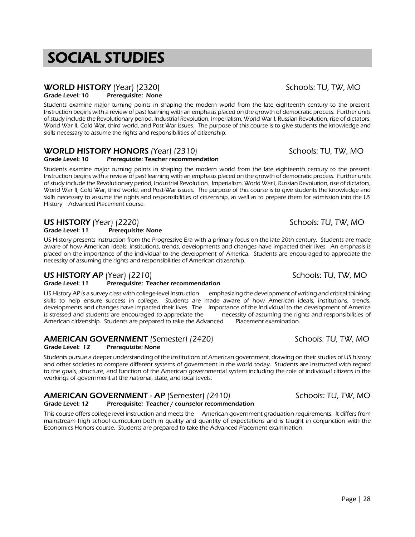# SOCIAL STUDIES

# WORLD HISTORY (Year) (2320) Schools: TU, TW, MO

Grade Level: 10 Prerequisite: None

Students examine major turning points in shaping the modern world from the late eighteenth century to the present. Instruction begins with a review of past learning with an emphasis placed on the growth of democratic process. Further units of study include the Revolutionary period, Industrial Revolution, Imperialism, World War I, Russian Revolution, rise of dictators, World War II, Cold War, third world, and Post-War issues. The purpose of this course is to give students the knowledge and skills necessary to assume the rights and responsibilities of citizenship.

# **WORLD HISTORY HONORS** (Year) (2310) Schools: TU, TW, MO

### Grade Level: 10 Prerequisite: Teacher recommendation

Students examine major turning points in shaping the modern world from the late eighteenth century to the present. Instruction begins with a review of past learning with an emphasis placed on the growth of democratic process. Further units of study include the Revolutionary period, Industrial Revolution, Imperialism, World War I, Russian Revolution, rise of dictators, World War II, Cold War, third world, and Post-War issues. The purpose of this course is to give students the knowledge and skills necessary to assume the rights and responsibilities of citizenship, as well as to prepare them for admission into the US History Advanced Placement course.

# US HISTORY (Year) (2220) Schools: TU, TW, MO

### Grade Level: 11 Prerequisite: None

US History presents instruction from the Progressive Era with a primary focus on the late 20th century. Students are made aware of how American ideals, institutions, trends, developments and changes have impacted their lives. An emphasis is placed on the importance of the individual to the development of America. Students are encouraged to appreciate the necessity of assuming the rights and responsibilities of American citizenship.

# US HISTORY AP (Year) (2210) Schools: TU, TW, MO

### Grade Level: 11 Prerequisite: Teacher recommendation

US History AP is a survey class with college-level instruction emphasizing the development of writing and critical thinking skills to help ensure success in college. Students are made aware of how American ideals, institutions, trends, developments and changes have impacted their lives. The importance of the individual to the development of America is stressed and students are encouraged to appreciate the necessity of assuming the rights and responsibilities of American citizenship. Students are prepared to take the Advanced Placement examination.

# AMERICAN GOVERNMENT (Semester) (2420) Schools: TU, TW, MO

Grade Level: 12 Prerequisite: None

 Students pursue a deeper understanding of the institutions of American government, drawing on their studies of US history and other societies to compare different systems of government in the world today. Students are instructed with regard to the goals, structure, and function of the American governmental system including the role of individual citizens in the workings of government at the national, state, and local levels.

# AMERICAN GOVERNMENT - AP (Semester) (2410) Schools: TU, TW, MO

### Grade Level: 12 Prerequisite: Teacher / counselor recommendation

This course offers college level instruction and meets the American government graduation requirements. It differs from mainstream high school curriculum both in quality and quantity of expectations and is taught in conjunction with the Economics Honors course. Students are prepared to take the Advanced Placement examination.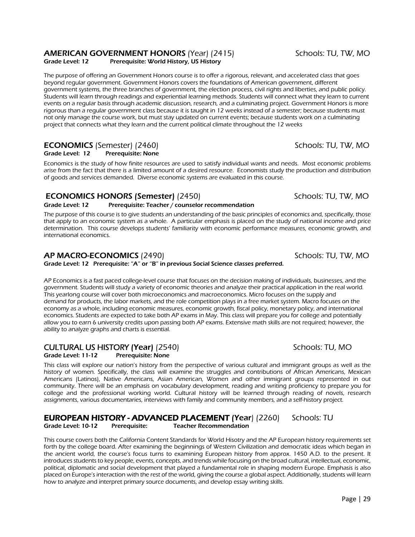### Page | 29

# AMERICAN GOVERNMENT HONORS (Year) (2415) Schools: TU, TW, MO

Grade Level: 12 Prerequisite: World History, US History

The purpose of offering an Government Honors course is to offer a rigorous, relevant, and accelerated class that goes beyond regular government. Government Honors covers the foundations of American government, different government systems, the three branches of government, the election process, civil rights and liberties, and public policy. Students will learn through readings and experiential learning methods. Students will connect what they learn to current events on a regular basis through academic discussion, research, and a culminating project. Government Honors is more rigorous than a regular government class because it is taught in 12 weeks instead of a semester; because students must not only manage the course work, but must stay updated on current events; because students work on a culminating project that connects what they learn and the current political climate throughout the 12 weeks

# **ECONOMICS** (Semester) (2460) Schools: TU, TW, MO

Grade Level: 12 Prerequisite: None

Economics is the study of how finite resources are used to satisfy individual wants and needs. Most economic problems arise from the fact that there is a limited amount of a desired resource. Economists study the production and distribution of goods and services demanded. Diverse economic systems are evaluated in this course.

# **ECONOMICS HONORS (Semester)** (2450) Schools: TU, TW, MO

### Grade Level: 12 Prerequisite: Teacher / counselor recommendation

 The purpose of this course is to give students an understanding of the basic principles of economics and, specifically, those that apply to an economic system as a whole. A particular emphasis is placed on the study of national income and price determination. This course develops students' familiarity with economic performance measures, economic growth, and international economics.

## AP MACRO-ECONOMICS (2490) Schools: TU, TW, MO

Grade Level: 12 Prerequisite: "A" or "B" in previous Social Science classes preferred.

AP Economics is a fast paced college-level course that focuses on the decision making of individuals, businesses, and the government. Students will study a variety of economic theories and analyze their practical application in the real world. This yearlong course will cover both microeconomics and macroeconomics. Micro focuses on the supply and demand for products, the labor markets, and the role competition plays in a free market system. Macro focuses on the economy as a whole, including economic measures, economic growth, fiscal policy, monetary policy, and international economics. Students are expected to take both AP exams in May. This class will prepare you for college and potentially allow you to earn 6 university credits upon passing both AP exams. Extensive math skills are not required; however, the ability to analyze graphs and charts is essential.

# CULTURAL US HISTORY (Year) (2540) Schools: TU, MO<br>
Grade Level: 11-12 Prerequisite: None

This class will explore our nation's history from the perspective of various cultural and immigrant groups as well as the history of women. Specifically, the class will examine the struggles and contributions of African Americans, Mexican Americans (Latinos), Native Americans, Asian American, Women and other immigrant groups represented in out community. There will be an emphasis on vocabulary development, reading and writing proficiency to prepare you for college and the professional working world. Cultural history will be learned through reading of novels, research assignments, various documentaries, interviews with family and community members, and a self-history project.

### **EUROPEAN HISTORY - ADVANCED PLACEMENT (Year) (2260)** Schools: TU Grade Level: 10-12 Prerequisite: Teacher Recommendation

This course covers both the California Content Standards for World Hisotry and the AP European history requirements set forth by the college board. After examining the beginnings of Western Civilization and democratic ideas which began in the ancient world, the course's focus turns to examining European history from approx. 1450 A.D. to the present. It introduces students to key people, events, concepts, and trends while focusing on the broad cultural, intellectual, economic, political, diplomatic and social development that played a fundamental role in shaping modern Europe. Emphasis is also placed on Europe's interaction with the rest of the world, giving the course a global aspect. Additionally, students will learn how to analyze and interpret primary source documents, and develop essay writing skills.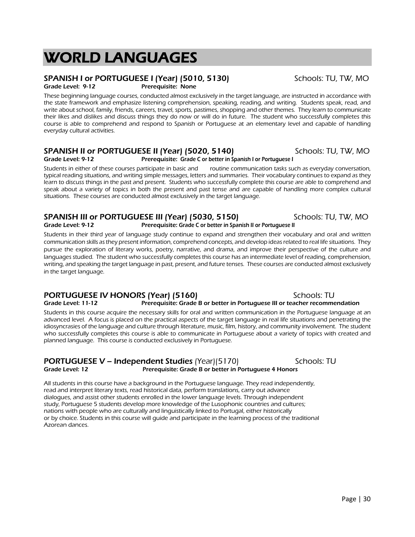# WORLD LANGUAGES

# SPANISH I or PORTUGUESE I (Year) (5010, 5130) Schools: TU, TW, MO

Grade Level: 9-12 Prerequisite: None

These beginning language courses, conducted almost exclusively in the target language, are instructed in accordance with the state framework and emphasize listening comprehension, speaking, reading, and writing. Students speak, read, and write about school, family, friends, careers, travel, sports, pastimes, shopping and other themes. They learn to communicate their likes and dislikes and discuss things they do now or will do in future. The student who successfully completes this course is able to comprehend and respond to Spanish or Portuguese at an elementary level and capable of handling everyday cultural activities.

### **SPANISH II or PORTUGUESE II (Year) (5020, 5140)** Schools: TU, TW, MO Grade Level: 9-12 Prerequisite: Grade C or better in Spanish I or Portuguese I

Students in either of these courses participate in basic and routine communication tasks such as everyday conversation, typical reading situations, and writing simple messages, letters and summaries. Their vocabulary continues to expand as they learn to discuss things in the past and present. Students who successfully complete this course are able to comprehend and speak about a variety of topics in both the present and past tense and are capable of handling more complex cultural situations. These courses are conducted almost exclusively in the target language.

### SPANISH III or PORTUGUESE III (Year) (5030, 5150) SChools: TU, TW, MO<br>Grade Level: 9-12 **Prerequisite: Grade C** or better in Spanish II or Portuguese II Prerequisite: Grade C or better in Spanish II or Portuguese II

Students in their third year of language study continue to expand and strengthen their vocabulary and oral and written communication skills as they present information, comprehend concepts, and develop ideas related to real life situations. They pursue the exploration of literary works, poetry, narrative, and drama, and improve their perspective of the culture and languages studied. The student who successfully completes this course has an intermediate level of reading, comprehension, writing, and speaking the target language in past, present, and future tenses. These courses are conducted almost exclusively in the target language.

### PORTUGUESE IV HONORS (Year) (5160)<br>Grade Level: 11-12 Prerequisite: Grade B or better in Portuguese III or teacher recomme Prerequisite: Grade B or better in Portuguese III or teacher recommendation

Students in this course acquire the necessary skills for oral and written communication in the Portuguese language at an advanced level. A focus is placed on the practical aspects of the target language in real life situations and penetrating the idiosyncrasies of the language and culture through literature, music, film, history, and community involvement. The student who successfully completes this course is able to communicate in Portuguese about a variety of topics with created and planned language. This course is conducted exclusively in Portuguese.

# **PORTUGUESE V – Independent Studies** (Year)(5170) Schools: TU<br>Grade Level: 12 **Schools: TU** Prerequisite: Grade B or better in Portuguese 4 Honors Prerequisite: Grade B or better in Portuguese 4 Honors

All students in this course have a background in the Portuguese language. They read independently, read and interpret literary texts, read historical data, perform translations, carry out advance dialogues, and assist other students enrolled in the lower language levels. Through independent study, Portuguese 5 students develop more knowledge of the Lusophonic countries and cultures; nations with people who are culturally and linguistically linked to Portugal, either historically or by choice. Students in this course will guide and participate in the learning process of the traditional Azorean dances.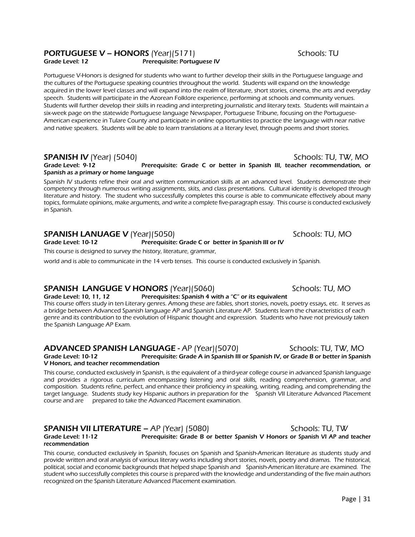# **PORTUGUESE V – HONORS** (Year)(5171) Schools: TU

Grade Level: 12 Prerequisite: Portuguese IV

Portuguese V-Honors is designed for students who want to further develop their skills in the Portuguese language and the cultures of the Portuguese speaking countries throughout the world. Students will expand on the knowledge acquired in the lower level classes and will expand into the realm of literature, short stories, cinema, the arts and everyday speech. Students will participate in the Azorean Folklore experience, performing at schools and community venues. Students will further develop their skills in reading and interpreting journalistic and literary texts. Students will maintain a six-week page on the statewide Portuguese language Newspaper, Portuguese Tribune, focusing on the Portuguese-American experience in Tulare County and participate in online opportunities to practice the language with near native and native speakers. Students will be able to learn translations at a literary level, through poems and short stories.

SPANISH IV (Year) (5040) Schools: TU, TW, MO Prerequisite: Grade C or better in Spanish III, teacher recommendation, or Spanish as a primary or home language

Spanish IV students refine their oral and written communication skills at an advanced level. Students demonstrate their competency through numerous writing assignments, skits, and class presentations. Cultural identity is developed through literature and history. The student who successfully completes this course is able to communicate effectively about many topics, formulate opinions, make arguments, and write a complete five-paragraph essay. This course is conducted exclusively in Spanish.

## SPANISH LANUAGE V (Year)(5050) SPANISH LANUAGE V (Year)(5050)

### Grade Level: 10-12 Prerequisite: Grade C or better in Spanish III or IV

This course is designed to survey the history, literature, grammar,

world and is able to communicate in the 14 verb tenses. This course is conducted exclusively in Spanish.

# **SPANISH LANGUGE V HONORS** (Year)(5060) Schools: TU, MO

Grade Level: 10, 11, 12 Prerequisites: Spanish 4 with a "C" or its equivalent This course offers study in ten Literary genres. Among these are fables, short stories, novels, poetry essays, etc. It serves as a bridge between Advanced Spanish language AP and Spanish Literature AP. Students learn the characteristics of each genre and its contribution to the evolution of Hispanic thought and expression. Students who have not previously taken the Spanish Language AP Exam.

### ADVANCED SPANISH LANGUAGE - AP (Year)(5070) Schools: TU, TW, MO Grade Level: 10-12 Prerequisite: Grade A in Spanish III or Spanish IV, or Grade B or better in Spanish V Honors, and teacher recommendation

This course, conducted exclusively in Spanish, is the equivalent of a third-year college course in advanced Spanish language and provides a rigorous curriculum encompassing listening and oral skills, reading comprehension, grammar, and composition. Students refine, perfect, and enhance their proficiency in speaking, writing, reading, and comprehending the target language. Students study key Hispanic authors in preparation for the Spanish VII Literature Advanced Placement course and are prepared to take the Advanced Placement examination.

## SPANISH VII LITERATURE – AP (Year) (5080) SChools: TU, TW

Grade Level: 11-12 Prerequisite: Grade B or better Spanish V Honors or Spanish VI AP and teacher recommendation

This course, conducted exclusively in Spanish, focuses on Spanish and Spanish-American literature as students study and provide written and oral analysis of various literary works including short stories, novels, poetry and dramas. The historical, political, social and economic backgrounds that helped shape Spanish and Spanish-American literature are examined. The student who successfully completes this course is prepared with the knowledge and understanding of the five main authors recognized on the Spanish Literature Advanced Placement examination.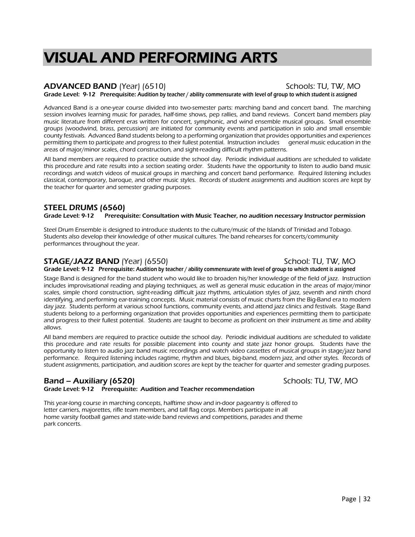# VISUAL AND PERFORMING ARTS

### ADVANCED BAND (Year) (6510) Schools: TU, TW, MO Grade Level: 9-12 Prerequisite: Audition by teacher / ability commensurate with level of group to which student is assigned

Advanced Band is a one-year course divided into two-semester parts: marching band and concert band. The marching session involves learning music for parades, half-time shows, pep rallies, and band reviews. Concert band members play music literature from different eras written for concert, symphonic, and wind ensemble musical groups. Small ensemble groups (woodwind, brass, percussion) are initiated for community events and participation in solo and small ensemble county festivals. Advanced Band students belong to a performing organization that provides opportunities and experiences permitting them to participate and progress to their fullest potential. Instruction includes general music education in the areas of major/minor scales, chord construction, and sight-reading difficult rhythm patterns.

All band members are required to practice outside the school day. Periodic individual auditions are scheduled to validate this procedure and rate results into a section seating order. Students have the opportunity to listen to audio band music recordings and watch videos of musical groups in marching and concert band performance. Required listening includes classical, contemporary, baroque, and other music styles. Records of student assignments and audition scores are kept by the teacher for quarter and semester grading purposes.

# STEEL DRUMS (6560)<br>Grade Level: 9-12 Prerequ

Prerequisite: Consultation with Music Teacher, no audition necessary Instructor permission

Steel Drum Ensemble is designed to introduce students to the culture/music of the Islands of Trinidad and Tobago. Students also develop their knowledge of other musical cultures. The band rehearses for concerts/community performances throughout the year.

# **STAGE/JAZZ BAND** (Year) (6550) SCHOOL: TU, TW, MO

Grade Level: 9-12 Prerequisite: Audition by teacher / ability commensurate with level of group to which student is assigned

Stage Band is designed for the band student who would like to broaden his/her knowledge of the field of jazz. Instruction includes improvisational reading and playing techniques, as well as general music education in the areas of major/minor scales, simple chord construction, sight-reading difficult jazz rhythms, articulation styles of jazz, seventh and ninth chord identifying, and performing ear-training concepts. Music material consists of music charts from the Big-Band era to modern day jazz. Students perform at various school functions, community events, and attend jazz clinics and festivals. Stage Band students belong to a performing organization that provides opportunities and experiences permitting them to participate and progress to their fullest potential. Students are taught to become as proficient on their instrument as time and ability allows.

All band members are required to practice outside the school day. Periodic individual auditions are scheduled to validate this procedure and rate results for possible placement into county and state jazz honor groups. Students have the opportunity to listen to audio jazz band music recordings and watch video cassettes of musical groups in stage/jazz band performance. Required listening includes ragtime, rhythm and blues, big-band, modern jazz, and other styles. Records of student assignments, participation, and audition scores are kept by the teacher for quarter and semester grading purposes.

# Band – Auxiliary (6520) Schools: TU, TW, MO

Grade Level: 9-12 Prerequisite: Audition and Teacher recommendation

This year-long course in marching concepts, halftime show and in-door pageantry is offered to letter carriers, majorettes, rifle team members, and tall flag corps. Members participate in all home varsity football games and state-wide band reviews and competitions, parades and theme park concerts.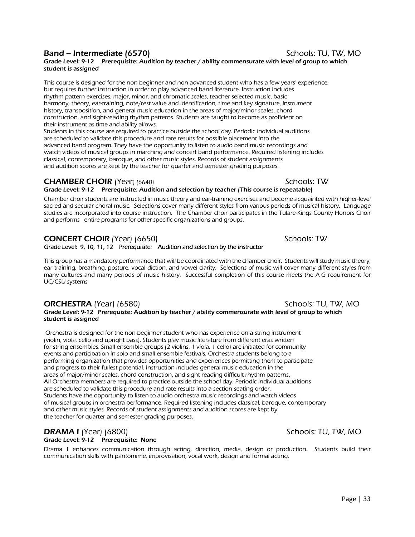## **Band – Intermediate (6570)** Schools: TU, TW, MO

### Grade Level: 9-12 Prerequisite: Audition by teacher / ability commensurate with level of group to which student is assigned

This course is designed for the non-beginner and non-advanced student who has a few years' experience, but requires further instruction in order to play advanced band literature. Instruction includes rhythm pattern exercises, major, minor, and chromatic scales, teacher-selected music, basic harmony, theory, ear-training, note/rest value and identification, time and key signature, instrument history, transposition, and general music education in the areas of major/minor scales, chord construction, and sight-reading rhythm patterns. Students are taught to become as proficient on their instrument as time and ability allows.

Students in this course are required to practice outside the school day. Periodic individual auditions are scheduled to validate this procedure and rate results for possible placement into the advanced band program. They have the opportunity to listen to audio band music recordings and watch videos of musical groups in marching and concert band performance. Required listening includes classical, contemporary, baroque, and other music styles. Records of student assignments and audition scores are kept by the teacher for quarter and semester grading purposes.

### **CHAMBER CHOIR** (Year) (6640) Schools: TW

## Grade Level: 9-12 Prerequisite: Audition and selection by teacher (This course is repeatable)

Chamber choir students are instructed in music theory and ear-training exercises and become acquainted with higher-level sacred and secular choral music. Selections cover many different styles from various periods of musical history. Language studies are incorporated into course instruction. The Chamber choir participates in the Tulare-Kings County Honors Choir and performs entire programs for other specific organizations and groups.

# **CONCERT CHOIR** (Year) (6650) Schools: TW

Grade Level: 9, 10, 11, 12 Prerequisite: Audition and selection by the instructor

This group has a mandatory performance that will be coordinated with the chamber choir. Students will study music theory, ear training, breathing, posture, vocal diction, and vowel clarity. Selections of music will cover many different styles from many cultures and many periods of music history. Successful completion of this course meets the A-G requirement for UC/CSU systems

# **ORCHESTRA** (Year) (6580) **Schools: TU, TW, MO**

Grade Level: 9-12 Prerequiste: Audition by teacher / ability commensurate with level of group to which student is assigned

Orchestra is designed for the non-beginner student who has experience on a string instrument (violin, viola, cello and upright bass). Students play music literature from different eras written for string ensembles. Small ensemble groups (2 violins, 1 viola, 1 cello) are initiated for community events and participation in solo and small ensemble festivals. Orchestra students belong to a performing organization that provides opportunities and experiences permitting them to participate and progress to their fullest potential. Instruction includes general music education in the areas of major/minor scales, chord construction, and sight-reading difficult rhythm patterns. All Orchestra members are required to practice outside the school day. Periodic individual auditions are scheduled to validate this procedure and rate results into a section seating order. Students have the opportunity to listen to audio orchestra music recordings and watch videos of musical groups in orchestra performance. Required listening includes classical, baroque, contemporary and other music styles. Records of student assignments and audition scores are kept by the teacher for quarter and semester grading purposes.

# **DRAMA I** (Year) (6800) Schools: TU, TW, MO

## Grade Level: 9-12 Prerequisite: None

Drama 1 enhances communication through acting, direction, media, design or production. Students build their communication skills with pantomime, improvisation, vocal work, design and formal acting.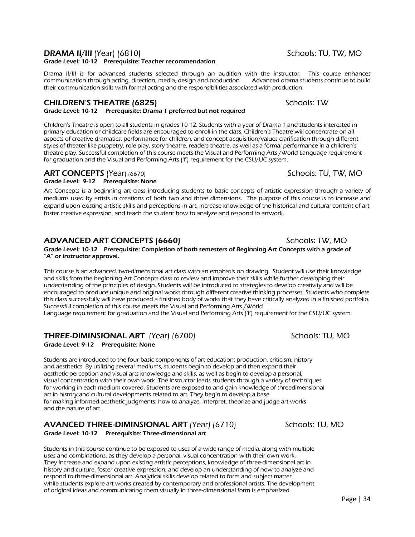# **DRAMA II/III** (Year) (6810) Schools: TU, TW, MO

### Grade Level: 10-12 Prerequisite: Teacher recommendation

Drama II/III is for advanced students selected through an audition with the instructor. This course enhances communication through acting, direction, media, design and production. Advanced drama students continue to build their communication skills with formal acting and the responsibilities associated with production.

## CHILDREN'S THEATRE (6825) Schools: TW

Grade Level: 10-12 Prerequisite: Drama 1 preferred but not required

Children's Theatre is open to all students in grades 10-12. Students with a year of Drama 1 and students interested in primary education or childcare fields are encouraged to enroll in the class. Children's Theatre will concentrate on all aspects of creative dramatics, performance for children, and concept acquisition/values clarification through different styles of theater like puppetry, role play, story theatre, readers theatre, as well as a formal performance in a children's theatre play. Successful completion of this course meets the Visual and Performing Arts /World Language requirement for graduation and the Visual and Performing Arts ('f') requirement for the CSU/UC system.

### ART CONCEPTS (Year) (6670) Schools: TU, TW, MO

Grade Level: 9-12 Prerequisite: None

Art Concepts is a beginning art class introducing students to basic concepts of artistic expression through a variety of mediums used by artists in creations of both two and three dimensions. The purpose of this course is to increase and expand upon existing artistic skills and perceptions in art, increase knowledge of the historical and cultural content of art, foster creative expression, and teach the student how to analyze and respond to artwork.

# ADVANCED ART CONCEPTS (6660) Schools: TW, MO

Grade Level: 10-12 Prerequisite: Completion of both semesters of Beginning Art Concepts with a grade of "A" or instructor approval.

This course is an advanced, two-dimensional art class with an emphasis on drawing. Student will use their knowledge and skills from the beginning Art Concepts class to review and improve their skills while further developing their understanding of the principles of design. Students will be introduced to strategies to develop creativity and will be encouraged to produce unique and original works through different creative thinking processes. Students who complete this class successfully will have produced a finished body of works that they have critically analyzed in a finished portfolio. Successful completion of this course meets the Visual and Performing Arts /World Language requirement for graduation and the Visual and Performing Arts ('f') requirement for the CSU/UC system.

# **THREE-DIMINSIONAL ART** (Year) (6700) Schools: TU, MO

Grade Level: 9-12 Prerequisite: None

Students are introduced to the four basic components of art education: production, criticism, history and aesthetics. By utilizing several mediums, students begin to develop and then expand their aesthetic perception and visual arts knowledge and skills, as well as begin to develop a personal, visual concentration with their own work. The instructor leads students through a variety of techniques for working in each medium covered. Students are exposed to and gain knowledge of threedimensional art in history and cultural developments related to art. They begin to develop a base for making informed aesthetic judgments: how to analyze, interpret, theorize and judge art works and the nature of art.

# AVANCED THREE-DIMINSIONAL ART (Year) (6710) Schools: TU, MO

Grade Level: 10-12 Prerequisite: Three-dimensional art

Students in this course continue to be exposed to uses of a wide range of media, along with multiple uses and combinations, as they develop a personal, visual concentration with their own work. They increase and expand upon existing artistic perceptions, knowledge of three-dimensional art in history and culture, foster creative expression, and develop an understanding of how to analyze and respond to three-dimensional art. Analytical skills develop related to form and subject matter while students explore art works created by contemporary and professional artists. The development of original ideas and communicating them visually in three-dimensional form is emphasized.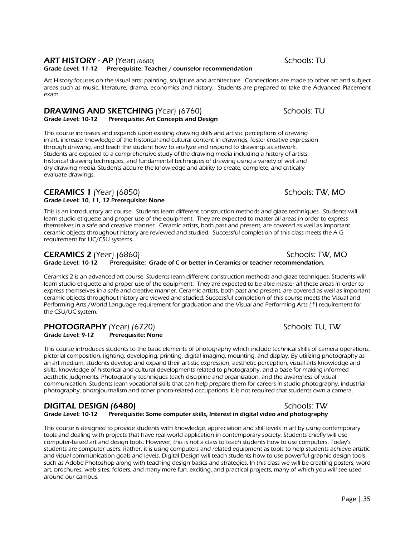## ART HISTORY - AP (Year) (6680) Schools: TU

Grade Level: 11-12 Prerequisite: Teacher / counselor recommendation

Art History focuses on the visual arts: painting, sculpture and architecture. Connections are made to other art and subject areas such as music, literature, drama, economics and history. Students are prepared to take the Advanced Placement exam.

# **DRAWING AND SKETCHING** (Year) (6760)<br>Grade Level: 10-12 Prerequisite: Art Concepts and Design

Prerequisite: Art Concepts and Design

This course increases and expands upon existing drawing skills and artistic perceptions of drawing in art, increase knowledge of the historical and cultural content in drawings, foster creative expression through drawing, and teach the student how to analyze and respond to drawings as artwork. Students are exposed to a comprehensive study of the drawing media including a history of artists, historical drawing techniques, and fundamental techniques of drawing using a variety of wet and dry drawing media. Students acquire the knowledge and ability to create, complete, and critically evaluate drawings.

### **CERAMICS 1** (Year) (6850) Schools: TW, MO Grade Level: 10, 11, 12 Prerequisite: None

This is an introductory art course. Students learn different construction methods and glaze techniques. Students will learn studio etiquette and proper use of the equipment. They are expected to master all areas in order to express themselves in a safe and creative manner. Ceramic artists, both past and present, are covered as well as important ceramic objects throughout history are reviewed and studied. Successful completion of this class meets the A-G requirement for UC/CSU systems.

# **CERAMICS 2** (Year) (6860) Schools: TW, MO

Grade Level: 10-12 Prerequisite: Grade of C or better in Ceramics or teacher recommendation.

Ceramics 2 is an advanced art course. Students learn different construction methods and glaze techniques. Students will learn studio etiquette and proper use of the equipment. They are expected to be able master all these areas in order to express themselves in a safe and creative manner. Ceramic artists, both past and present, are covered as well as important ceramic objects throughout history are viewed and studied. Successful completion of this course meets the Visual and Performing Arts /World Language requirement for graduation and the Visual and Performing Arts ('f') requirement for the CSU/UC system.

# **PHOTOGRAPHY** (Year) (6720) Schools: TU, TW Grade Level: 9-12 Prerequisite: None

This course introduces students to the basic elements of photography which include technical skills of camera operations, pictorial composition, lighting, developing, printing, digital imaging, mounting, and display. By utilizing photography as an art medium, students develop and expand their artistic expression, aesthetic perception, visual arts knowledge and skills, knowledge of historical and cultural developments related to photography, and a base for making informed aesthetic judgments. Photography techniques teach discipline and organization, and the awareness of visual communication. Students learn vocational skills that can help prepare them for careers in studio photography, industrial photography, photojournalism and other photo-related occupations. It is not required that students own a camera.

DIGITAL DESIGN (6480)<br>Grade Level: 10-12 Prerequisite: Some computer skills. Interest in digital video and photography Prerequisite: Some computer skills, Interest in digital video and photography

This course is designed to provide students with knowledge, appreciation and skill levels in art by using contemporary tools and dealing with projects that have real-world application in contemporary society. Students chiefly will use computer-based art and design tools. However, this is not a class to teach students how to use computers. Today's students are computer users. Rather, it is using computers and related equipment as tools to help students achieve artistic and visual communication goals and levels. Digital Design will teach students how to use powerful graphic design tools such as Adobe Photoshop along with teaching design basics and strategies. In this class we will be creating posters, word art, brochures, web sites, folders, and many more fun, exciting, and practical projects, many of which you will see used around our campus.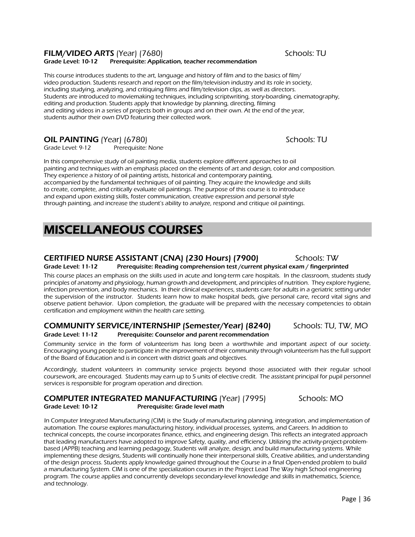# FILM/VIDEO ARTS (Year) (7680) Schools: TU

### Grade Level: 10-12 Prerequisite: Application, teacher recommendation

This course introduces students to the art, language and history of film and to the basics of film/ video production. Students research and report on the film/television industry and its role in society, including studying, analyzing, and critiquing films and film/television clips, as well as directors. Students are introduced to moviemaking techniques, including scriptwriting, story-boarding, cinematography, editing and production. Students apply that knowledge by planning, directing, filming and editing videos in a series of projects both in groups and on their own. At the end of the year, students author their own DVD featuring their collected work.

# **OIL PAINTING** (Year) (6780)<br>Grade Level: 9-12 Prerequisite: None

Prerequisite: None

In this comprehensive study of oil painting media, students explore different approaches to oil painting and techniques with an emphasis placed on the elements of art and design, color and composition. They experience a history of oil painting artists, historical and contemporary painting, accompanied by the fundamental techniques of oil painting. They acquire the knowledge and skills to create, complete, and critically evaluate oil paintings. The purpose of this course is to introduce and expand upon existing skills, foster communication, creative expression and personal style through painting, and increase the student's ability to analyze, respond and critique oil paintings.

# MISCELLANEOUS COURSES

### CERTIFIED NURSE ASSISTANT (CNA) (230 Hours) (7900) Schools: TW Grade Level: 11-12 Prerequisite: Reading comprehension test /current physical exam / fingerprinted

This course places an emphasis on the skills used in acute and long-term care hospitals. In the classroom, students study principles of anatomy and physiology, human growth and development, and principles of nutrition. They explore hygiene, infection prevention, and body mechanics. In their clinical experiences, students care for adults in a geriatric setting under the supervision of the instructor. Students learn how to make hospital beds, give personal care, record vital signs and observe patient behavior. Upon completion, the graduate will be prepared with the necessary competencies to obtain certification and employment within the health care setting.

# COMMUNITY SERVICE/INTERNSHIP (Semester/Year) (8240) Schools: TU, TW, MO

Grade Level: 11-12 Prerequisite: Counselor and parent recommendation Community service in the form of volunteerism has long been a worthwhile and important aspect of our society. Encouraging young people to participate in the improvement of their community through volunteerism has the full support of the Board of Education and is in concert with district goals and objectives.

Accordingly, student volunteers in community service projects beyond those associated with their regular school coursework, are encouraged. Students may earn up to 5 units of elective credit. The assistant principal for pupil personnel services is responsible for program operation and direction.

### COMPUTER INTEGRATED MANUFACTURING (Year) (7995) Schools: MO Grade Level: 10-12 Prerequisite: Grade level math

In Computer Integrated Manufacturing (CIM) is the Study of manufacturing planning, integration, and implementation of automation. The course explores manufacturing history, individual processes, systems, and Careers. In addition to technical concepts, the course incorporates finance, ethics, and engineering design. This reflects an integrated approach that leading manufacturers have adopted to improve Safety, quality, and efficiency. Utilizing the activity-project-problembased (APPB) teaching and learning pedagogy, Students will analyze, design, and build manufacturing systems. While implementing these designs, Students will continually hone their interpersonal skills, Creative abilities, and understanding of the design process. Students apply knowledge gained throughout the Course in a final Open-ended problem to build a manufacturing System. CIM is one of the specialization courses in the Project Lead The Way high School engineering program. The course applies and concurrently develops secondary-level knowledge and skills in mathematics, Science, and technology.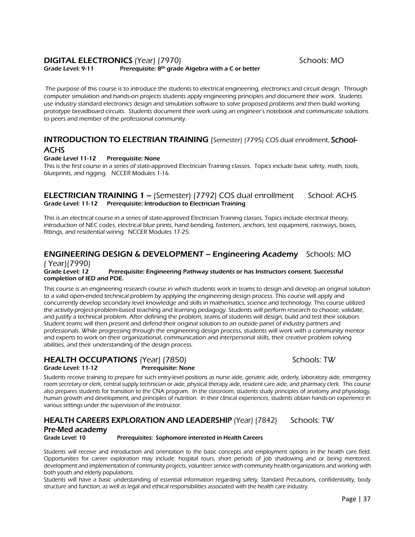## **DIGITAL ELECTRONICS** (Year) (7970) Schools: MO

Grade Level: 9-11 Prerequisite: 8<sup>th</sup> grade Algebra with a C or better

The purpose of this course is to introduce the students to electrical engineering, electronics and circuit design. Through computer simulation and hands-on projects students apply engineering principles and document their work. Students use industry standard electronics design and simulation software to solve proposed problems and then build working prototype breadboard circuits. Students document their work using an engineer's notebook and communicate solutions to peers and member of the professional community.

## INTRODUCTION TO ELECTRIAN TRAINING (Semester) (7795) COS dual enrollment, School-**ACHS**

### Grade Level 11-12 Prerequisite: None

This is the first course in a series of state-approved Electrician Training classes. Topics include basic safety, math, tools, blueprints, and rigging. NCCER Modules 1-16.

### **ELECTRICIAN TRAINING 1 – (Semester) (7792) COS dual enrollment School: ACHS** Grade Level: 11-12 Prerequisite: Introduction to Electrician Training

This is an electrical course in a series of state-approved Electrician Training classes. Topics include electrical theory, introduction of NEC codes, electrical blue prints, hand bending, fasteners, anchors, test equipment, raceways, boxes, fittings, and residential wiring. NCCER Modules 17-25.

# ENGINEERING DESIGN & DEVELOPMENT – Engineering Academy Schools: MO

### ( Year)(7990) Grade Level: 12 Prerequisite: Engineering Pathway students or has Instructors consent. Successful completion of IED and POE.

This course is an engineering research course in which students work in teams to design and develop an original solution to a valid open-ended technical problem by applying the engineering design process. This course will apply and concurrently develop secondary level knowledge and skills in mathematics, science and technology. This course utilized the activity-project-problem-based teaching and learning pedagogy. Students will perform research to choose, validate, and justify a technical problem. After defining the problem, teams of students will design, build and test their solution. Student teams will then present and defend their original solution to an outside panel of industry partners and professionals. While progressing through the engineering design process, students will work with a community mentor and experts to work on their organizational, communication and interpersonal skills, their creative problem solving abilities, and their understanding of the design process.

# HEALTH OCCUPATIONS (Year) (7850) Schools: TW

Grade Level: 11-12 Prerequisite: None

Students receive training to prepare for such entry-level positions as nurse aide, geriatric aide, orderly, laboratory aide, emergency room secretary or clerk, central supply technician or aide, physical therapy aide, resident care aide, and pharmacy clerk. This course also prepares students for transition to the CNA program. In the classroom, students study principles of anatomy and physiology, human growth and development, and principles of nutrition. In their clinical experiences, students obtain hands-on experience in various settings under the supervision of the instructor.

# HEALTH CAREERS EXPLORATION AND LEADERSHIP (Year) (7842) Schools: TW Pre-Med academy<br>Grade Level: 10

Prerequisites: Sophomore interested in Health Careers

Students will receive and introduction and orientation to the basic concepts and employment options in the health care field. Opportunities for career exploration may include: hospital tours, short periods of job shadowing and or being mentored, development and implementation of community projects, volunteer service with community health organizations and working with both youth and elderly populations.

Students will have a basic understanding of essential information regarding safety, Standard Precautions, confidentiality, body structure and function, as well as legal and ethical responsibilities associated with the health care industry.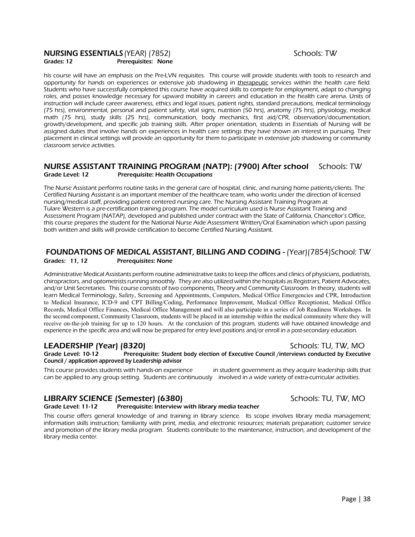### **NURSING ESSENTIALS** (YEAR) (7852) Schools: TW Grades: 12 **Prerequisites: None**

his course will have an emphasis on the Pre-LVN requisites. This course will provide students with tools to research and opportunity for hands on experiences or extensive job shadowing in therapeutic services within the health care field. Students who have successfully completed this course have acquired skills to compete for employment, adapt to changing roles, and posses knowledge necessary for upward mobility in careers and education in the health care arena. Units of instruction will include career awareness, ethics and legal issues, patient rights, standard precautions, medical terminology (75 hrs), environmental, personal and patient safety, vital signs, nutrition (50 hrs), anatomy (75 hrs), physiology, medical math (75 hrs), study skills (25 hrs), communication, body mechanics, first aid/CPR, observation/documentation, growth/development, and specific job training skills. After proper orientation, students in Essentials of Nursing will be assigned duties that involve hands on experiences in health care settings they have shown an interest in pursuing. Their placement in clinical settings will provide an opportunity for them to participate in extensive job shadowing or community classroom service activities.

### NURSE ASSISTANT TRAINING PROGRAM (NATP): (7900) After school Schools: TW Grade Level: 12 Prerequisite: Health Occupations

The Nurse Assistant performs routine tasks in the general care of hospital, clinic, and nursing home patients/clients. The Certified Nursing Assistant is an important member of the healthcare team, who works under the direction of licensed nursing/medical staff, providing patient centered nursing care. The Nursing Assistant Training Program at Tulare Western is a pre-certification training program. The model curriculum used is Nurse Assistant Training and Assessment Program (NATAP), developed and published under contract with the State of California, Chancellor's Office, this course prepares the student for the National Nurse Aide Assessment Written/Oral Examination which upon passing both written and skills will provide certification to become Certified Nursing Assistant.

### FOUNDATIONS OF MEDICAL ASSISTANT, BILLING AND CODING - (Year)(7854)School: TW Grades: 11, 12 Prerequisites: None

Administrative Medical Assistants perform routine administrative tasks to keep the offices and clinics of physicians, podiatrists, chiropractors, and optometrists running smoothly. They are also utilized within the hospitals as Registrars, Patient Advocates, and/or Unit Secretaries. This course consists of two components, Theory and Community Classroom. In theory, students will learn Medical Terminology, Safety, Screening and Appointments, Computers, Medical Office Emergencies and CPR, Introduction to Medical Insurance, ICD-9 and CPT Billing/Coding, Performance Improvement, Medical Office Receptionist, Medical Office Records, Medical Office Finances, Medical Office Management and will also participate in a series of Job Readiness Workshops. In the second component, Community Classroom, students will be placed in an internship within the medical community where they will receive on-the-job training for up to 120 hours. At the conclusion of this program, students will have obtained knowledge and experience in the specific area and will now be prepared for entry level positions and/or enroll in a post-secondary education.

## LEADERSHIP (Year) (8320) Schools: TU, TW, MO

Grade Level: 10-12 Prerequisite: Student body election of Executive Council /interviews conducted by Executive Council / application approved by Leadership advisor

This course provides students with hands-on experience in student government as they acquire leadership skills that can be applied to any group setting. Students are continuously involved in a wide variety of extra-curricular activities.

# LIBRARY SCIENCE (Semester) (6380) Schools: TU, TW, MO

### Grade Level: 11-12 Prerequisite: Interview with library media teacher

This course offers general knowledge of and training in library science. Its scope involves library media management; information skills instruction; familiarity with print, media, and electronic resources; materials preparation; customer service and promotion of the library media program. Students contribute to the maintenance, instruction, and development of the library media center.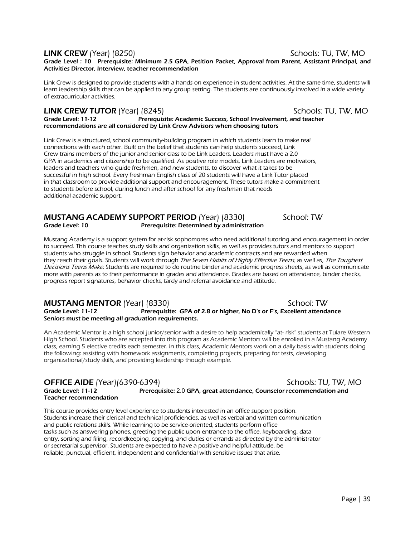### LINK CREW (Year) (8250) Schools: TU, TW, MO

Grade Level : 10 Prerequisite: Minimum 2.5 GPA, Petition Packet, Approval from Parent, Assistant Principal, and Activities Director, Interview, teacher recommendation

Link Crew is designed to provide students with a hands-on experience in student activities. At the same time, students will learn leadership skills that can be applied to any group setting. The students are continuously involved in a wide variety of extracurricular activities.

LINK CREW TUTOR (Year) (8245)<br>Grade Level: 11-12 **School Prefequisite: Academic Success**, School Involvement, and teacher Prerequisite: Academic Success, School Involvement, and teacher recommendations are all considered by Link Crew Advisors when choosing tutors

Link Crew is a structured, school community-building program in which students learn to make real connections with each other. Built on the belief that students can help students succeed, Link Crew trains members of the junior and senior class to be Link Leaders. Leaders must have a 2.0 GPA in academics and citizenship to be qualified. As positive role models, Link Leaders are motivators, leaders and teachers who guide freshmen, and new students, to discover what it takes to be successful in high school. Every freshman English class of 20 students will have a Link Tutor placed in that classroom to provide additional support and encouragement. These tutors make a commitment to students before school, during lunch and after school for any freshman that needs additional academic support.

# MUSTANG ACADEMY SUPPORT PERIOD (Year) (8330) School: TW Grade Level: 10 Prerequisite: Determined by administration

Mustang Academy is a support system for at-risk sophomores who need additional tutoring and encouragement in order to succeed. This course teaches study skills and organization skills, as well as provides tutors and mentors to support students who struggle in school. Students sign behavior and academic contracts and are rewarded when they reach their goals. Students will work through The Seven Habits of Highly Effective Teens, as well as, The Toughest Decisions Teens Make. Students are required to do routine binder and academic progress sheets, as well as communicate more with parents as to their performance in grades and attendance. Grades are based on attendance, binder checks, progress report signatures, behavior checks, tardy and referral avoidance and attitude.

# **MUSTANG MENTOR** (Year) (8330) School: TW

Grade Level: 11-12 **Prerequisite: GPA of 2.8 or higher, No D's or F's, Excellent attendance** Seniors must be meeting all graduation requirements.

An Academic Mentor is a high school junior/senior with a desire to help academically "at- risk" students at Tulare Western High School. Students who are accepted into this program as Academic Mentors will be enrolled in a Mustang Academy class, earning 5 elective credits each semester. In this class, Academic Mentors work on a daily basis with students doing the following: assisting with homework assignments, completing projects, preparing for tests, developing organizational/study skills, and providing leadership though example.

**OFFICE AIDE** (Year)(6390-6394) Schools: TU, TW, MO Grade Level: 11-12 Prerequisite: 2.0 GPA, great attendance, Counselor recommendation and Teacher recommendation

This course provides entry level experience to students interested in an office support position. Students increase their clerical and technical proficiencies, as well as verbal and written communication and public relations skills. While learning to be service-oriented, students perform office tasks such as answering phones, greeting the public upon entrance to the office, keyboarding, data entry, sorting and filing, recordkeeping, copying, and duties or errands as directed by the administrator or secretarial supervisor. Students are expected to have a positive and helpful attitude, be reliable, punctual, efficient, independent and confidential with sensitive issues that arise.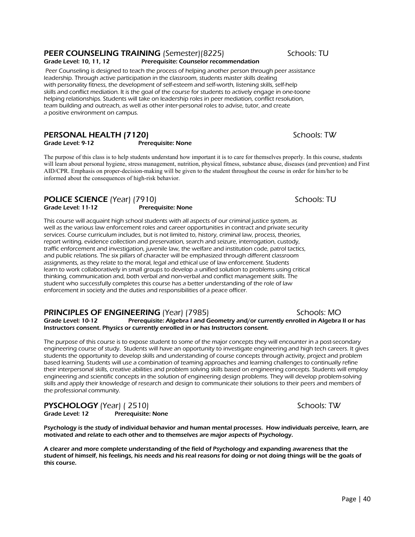# PEER COUNSELING TRAINING (Semester)(8225) Schools: TU

### Grade Level: 10, 11, 12 Prerequisite: Counselor recommendation

 Peer Counseling is designed to teach the process of helping another person through peer assistance leadership. Through active participation in the classroom, students master skills dealing with personality fitness, the development of self-esteem and self-worth, listening skills, self-help skills and conflict mediation. It is the goal of the course for students to actively engage in one-toone helping relationships. Students will take on leadership roles in peer mediation, conflict resolution, team building and outreach, as well as other inter-personal roles to advise, tutor, and create a positive environment on campus.

### **PERSONAL HEALTH (7120)** Schools: TW Grade Level: 9-12 Prerequisite: None

The purpose of this class is to help students understand how important it is to care for themselves properly. In this course, students will learn about personal hygiene, stress management, nutrition, physical fitness, substance abuse, diseases (and prevention) and First AID/CPR. Emphasis on proper-decision-making will be given to the student throughout the course in order for him/her to be informed about the consequences of high-risk behavior.

# POLICE SCIENCE (Year) (7910) Schools: TU

Grade Level: 11-12 Prerequisite: None This course will acquaint high school students with all aspects of our criminal justice system, as

well as the various law enforcement roles and career opportunities in contract and private security services. Course curriculum includes, but is not limited to, history, criminal law, process, theories, report writing, evidence collection and preservation, search and seizure, interrogation, custody, traffic enforcement and investigation, juvenile law, the welfare and institution code, patrol tactics, and public relations. The six pillars of character will be emphasized through different classroom assignments, as they relate to the moral, legal and ethical use of law enforcement. Students learn to work collaboratively in small groups to develop a unified solution to problems using critical thinking, communication and, both verbal and non-verbal and conflict management skills. The student who successfully completes this course has a better understanding of the role of law enforcement in society and the duties and responsibilities of a peace officer.

## **PRINCIPLES OF ENGINEERING** (Year) (7985) Schools: MO

Grade Level: 10-12 Prerequisite: Algebra I and Geometry and/or currently enrolled in Algebra II or has Instructors consent. Physics or currently enrolled in or has Instructors consent.

The purpose of this course is to expose student to some of the major concepts they will encounter in a post-secondary engineering course of study. Students will have an opportunity to investigate engineering and high tech careers. It gives students the opportunity to develop skills and understanding of course concepts through activity, project and problem based learning. Students will use a combination of teaming approaches and learning challenges to continually refine their interpersonal skills, creative abilities and problem solving skills based on engineering concepts. Students will employ engineering and scientific concepts in the solution of engineering design problems. They will develop problem-solving skills and apply their knowledge of research and design to communicate their solutions to their peers and members of the professional community.

**PYSCHOLOGY** (Year) ( 2510)<br>Grade Level: 12 Prerequisite: None

Prerequisite: None

Psychology is the study of individual behavior and human mental processes. How individuals perceive, learn, are motivated and relate to each other and to themselves are major aspects of Psychology.

A clearer and more complete understanding of the field of Psychology and expanding awareness that the student of himself, his feelings, his needs and his real reasons for doing or not doing things will be the goals of this course.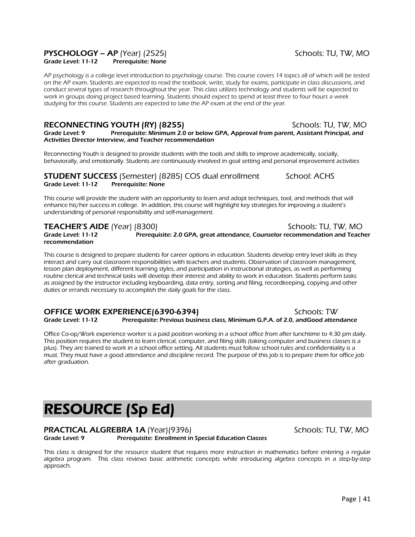# PYSCHOLOGY – AP (Year) (2525) Schools: TU, TW, MO

Grade Level: 11-12 Prerequisite: None

AP psychology is a college level introduction to psychology course. This course covers 14 topics all of which will be tested on the AP exam. Students are expected to read the textbook, write, study for exams, participate in class discussions, and conduct several types of research throughout the year. This class utilizes technology and students will be expected to work in groups doing project based learning. Students should expect to spend at least three to four hours a week studying for this course. Students are expected to take the AP exam at the end of the year.

### RECONNECTING YOUTH (RY) (8255) Schools: TU, TW, MO Grade Level: 9 Prerequisite: Minimum 2.0 or below GPA, Approval from parent, Assistant Principal, and Activities Director Interview, and Teacher recommendation

Reconnecting Youth is designed to provide students with the tools and skills to improve academically, socially, behaviorally, and emotionally. Students are continuously involved in goal setting and personal improvement activities

**STUDENT SUCCESS** (Semester) (8285) COS dual enrollment School: ACHS Grade Level: 11-12 Prerequisite: None

This course will provide the student with an opportunity to learn and adopt techniques, tool, and methods that will enhance his/her success in college. In addition, this course will highlight key strategies for improving a student's understanding of personal responsibility and self-management.

recommendation

TEACHER'S AIDE (Year) (8300) Schools: TU, TW, MO Grade Level: 11-12 Prerequisite: 2.0 GPA, great attendance, Counselor recommendation and Teacher

This course is designed to prepare students for career options in education. Students develop entry level skills as they interact and carry out classroom responsibilities with teachers and students. Observation of classroom management, lesson plan deployment, different learning styles, and participation in instructional strategies, as well as performing routine clerical and technical tasks will develop their interest and ability to work in education. Students perform tasks as assigned by the instructor including keyboarding, data entry, sorting and filing, recordkeeping, copying and other duties or errands necessary to accomplish the daily goals for the class.

OFFICE WORK EXPERIENCE(6390-6394)<br>Grade Level: 11-12 Prerequisite: Previous business class, Minimum G.P.A. of 2.0, andGood atten Prerequisite: Previous business class, Minimum G.P.A. of 2.0, andGood attendance

Office Co-op/Work experience worker is a paid position working in a school office from after lunchtime to 4:30 pm daily. This position requires the student to learn clerical, computer, and filing skills (taking computer and business classes is a plus). They are trained to work in a school office setting. All students must follow school rules and confidentiality is a must. They must have a good attendance and discipline record. The purpose of this job is to prepare them for office job after graduation.

# RESOURCE (Sp Ed)

### **PRACTICAL ALGREBRA 1A** (Year)(9396) Schools: TU, TW, MO Grade Level: 9 Prerequisite: Enrollment in Special Education Classes

This class is designed for the resource student that requires more instruction in mathematics before entering a regular algebra program. This class reviews basic arithmetic concepts while introducing algebra concepts in a step-by-step approach.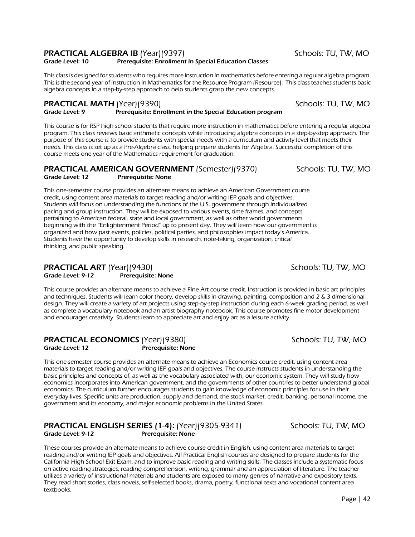### **PRACTICAL ALGEBRA IB** (Year)(9397) Schools: TU, TW, MO

### Grade Level: 10 Prerequisite: Enrollment in Special Education Classes

This class is designed for students who requires more instruction in mathematics before entering a regular algebra program. This is the second year of instruction in Mathematics for the Resource Program (Resource). This class teaches students basic algebra concepts in a step-by-step approach to help students grasp the new concepts.

**PRACTICAL MATH** (Year)(9390)<br>Grade Level: 9 **Suppleme and Precequisite: Enrollment in the Special Education program** Prerequisite: Enrollment in the Special Education program

This course is for RSP high school students that require more instruction in mathematics before entering a regular algebra program. This class reviews basic arithmetic concepts while introducing algebra concepts in a step-by-step approach. The purpose of this course is to provide students with special needs with a curriculum and activity level that meets their needs. This class is set up as a Pre-Algebra class, helping prepare students for Algebra. Successful completion of this course meets one year of the Mathematics requirement for graduation.

### **PRACTICAL AMERICAN GOVERNMENT** (Semester)(9370) Schools: TU, TW, MO Grade Level: 12 Prerequisite: None

This one-semester course provides an alternate means to achieve an American Government course credit, using content area materials to target reading and/or writing IEP goals and objectives. Students will focus on understanding the functions of the U.S. government through individualized pacing and group instruction. They will be exposed to various events, time frames, and concepts pertaining to American federal, state and local government, as well as other world governments beginning with the "Enlightenment Period" up to present day. They will learn how our government is organized and how past events, policies, political parties, and philosophies impact today's America. Students have the opportunity to develop skills in research, note-taking, organization, critical thinking, and public speaking.

### PRACTICAL ART (Year)(9430) Schools: TU, TW, MO Grade Level: 9-12 Prerequisite: None

This course provides an alternate means to achieve a Fine Art course credit. Instruction is provided in basic art principles and techniques. Students will learn color theory, develop skills in drawing, painting, composition and 2 & 3 dimensional design. They will create a variety of art projects using step-by-step instruction during each 6-week grading period, as well as complete a vocabulary notebook and an artist biography notebook. This course promotes fine motor development and encourages creativity. Students learn to appreciate art and enjoy art as a leisure activity.

### **PRACTICAL ECONOMICS** (Year)(9380)<br>Grade Level: 12 **Schools: TU, TW, MO** Prerequisite: None

This one-semester course provides an alternate means to achieve an Economics course credit, using content area materials to target reading and/or writing IEP goals and objectives. The course instructs students in understanding the basic principles and concepts of, as well as the vocabulary associated with, our economic system. They will study how economics incorporates into American government, and the governments of other countries to better understand global economics. The curriculum further encourages students to gain knowledge of economic principles for use in their everyday lives. Specific units are production, supply and demand, the stock market, credit, banking, personal income, the government and its economy, and major economic problems in the United States.

### **PRACTICAL ENGLISH SERIES (1-4):** (Year)(9305-9341) Schools: TU, TW, MO<br>Grade Level: 9-12 **Presequisite: None** Prerequisite: None

These courses provide an alternate means to achieve course credit in English, using content area materials to target reading and/or writing IEP goals and objectives. All Practical English courses are designed to prepare students for the California High School Exit Exam, and to improve basic reading and writing skills. The classes include a systematic focus on active reading strategies, reading comprehension, writing, grammar and an appreciation of literature. The teacher utilizes a variety of instructional materials and students are exposed to many genres of narrative and expository texts. They read short stories, class novels, self-selected books, drama, poetry, functional texts and vocational content area textbooks.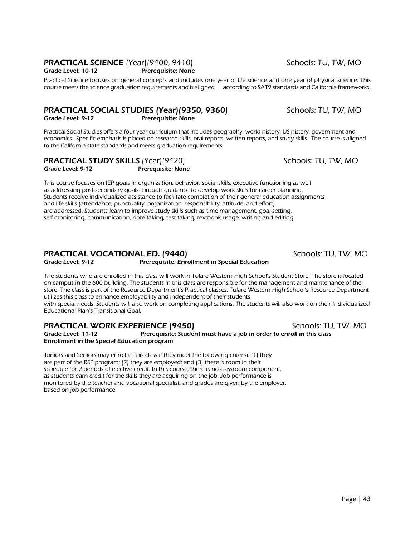# **PRACTICAL SCIENCE** (Year)(9400, 9410) Schools: TU, TW, MO

Grade Level: 10-12 Prerequisite: None

Practical Science focuses on general concepts and includes one year of life science and one year of physical science. This course meets the science graduation requirements and is aligned according to SAT9 standards and California frameworks.

# **PRACTICAL SOCIAL STUDIES (Year)(9350, 9360)** Schools: TU, TW, MO

Grade Level: 9-12 Prerequisite: None

Practical Social Studies offers a four-year curriculum that includes geography, world history, US history, government and economics. Specific emphasis is placed on research skills, oral reports, written reports, and study skills. The course is aligned to the California state standards and meets graduation requirements

|                   | <b>PRACTICAL STUDY SKILLS (Year)(9420)</b> |
|-------------------|--------------------------------------------|
| Grade Level: 9-12 | <b>Prerequisite: None</b>                  |

This course focuses on IEP goals in organization, behavior, social skills, executive functioning as well as addressing post-secondary goals through guidance to develop work skills for career planning. Students receive individualized assistance to facilitate completion of their general education assignments and life skills (attendance, punctuality, organization, responsibility, attitude, and effort) are addressed. Students learn to improve study skills such as time management, goal-setting, self-monitoring, communication, note-taking, test-taking, textbook usage, writing and editing.

# **PRACTICAL VOCATIONAL ED. (9440) SCHOOLS: TU, TW, MO**<br>Grade Level: 9-12 **Prefequisite: Enrollment in Special Education**

Prerequisite: Enrollment in Special Education

The students who are enrolled in this class will work in Tulare Western High School's Student Store. The store is located on campus in the 600 building. The students in this class are responsible for the management and maintenance of the store. The class is part of the Resource Department's Practical classes. Tulare Western High School's Resource Department utilizes this class to enhance employability and independent of their students with special needs. Students will also work on completing applications. The students will also work on their Individualized

Educational Plan's Transitional Goal.

# **PRACTICAL WORK EXPERIENCE (9450)** Schools: TU, TW, MO

Grade Level: 11-12 Prerequisite: Student must have a job in order to enroll in this class Enrollment in the Special Education program

Juniors and Seniors may enroll in this class if they meet the following criteria: (1) they are part of the RSP program; (2) they are employed; and (3) there is room in their schedule for 2 periods of elective credit. In this course, there is no classroom component, as students earn credit for the skills they are acquiring on the job. Job performance is monitored by the teacher and vocational specialist, and grades are given by the employer, based on job performance.

Schools: TU, TW, MO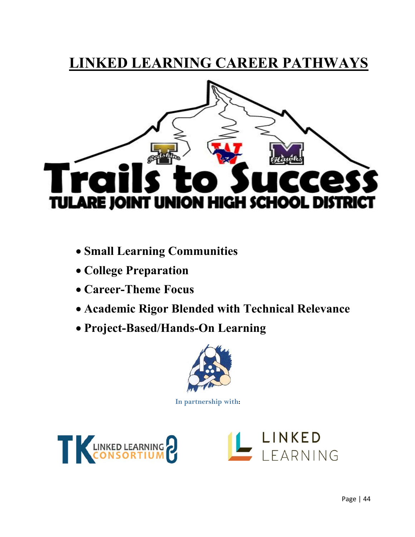# **LINKED LEARNING CAREER PATHWAYS**



- **Small Learning Communities**
- **College Preparation**
- **Career-Theme Focus**
- **Academic Rigor Blended with Technical Relevance**
- **Project-Based/Hands-On Learning**



**In partnership with:** 



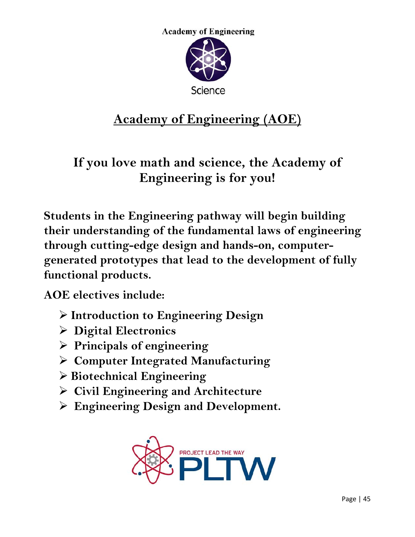

# **Academy of Engineering (AOE)**

**If you love math and science, the Academy of Engineering is for you!** 

**Students in the Engineering pathway will begin building their understanding of the fundamental laws of engineering through cutting-edge design and hands-on, computergenerated prototypes that lead to the development of fully functional products.** 

**AOE electives include:** 

- **Introduction to Engineering Design**
- **Digital Electronics**
- **Principals of engineering**
- **Computer Integrated Manufacturing**
- **Biotechnical Engineering**
- **Civil Engineering and Architecture**
- **Engineering Design and Development.**

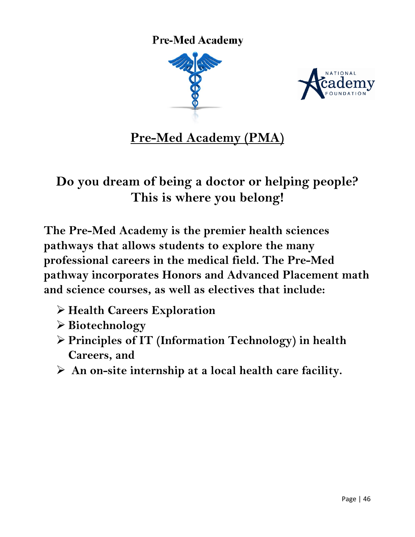**Pre-Med Academy** 





**Pre-Med Academy (PMA)** 

# **Do you dream of being a doctor or helping people? This is where you belong!**

**The Pre-Med Academy is the premier health sciences pathways that allows students to explore the many professional careers in the medical field. The Pre-Med pathway incorporates Honors and Advanced Placement math and science courses, as well as electives that include:** 

- **Health Careers Exploration**
- **Biotechnology**
- **Principles of IT (Information Technology) in health Careers, and**
- **An on-site internship at a local health care facility.**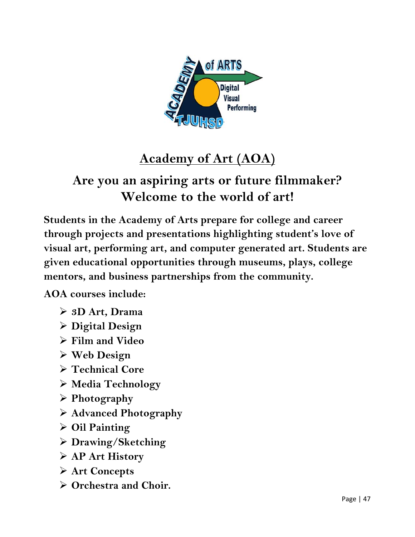

# **Academy of Art (AOA)**

# **Are you an aspiring arts or future filmmaker? Welcome to the world of art!**

**Students in the Academy of Arts prepare for college and career through projects and presentations highlighting student's love of visual art, performing art, and computer generated art. Students are given educational opportunities through museums, plays, college mentors, and business partnerships from the community.** 

**AOA courses include:** 

- **3D Art, Drama**
- **Digital Design**
- **Film and Video**
- **Web Design**
- **Technical Core**
- **Media Technology**
- **Photography**
- **Advanced Photography**
- **Oil Painting**
- **Drawing/Sketching**
- **AP Art History**
- **Art Concepts**
- **Orchestra and Choir.**